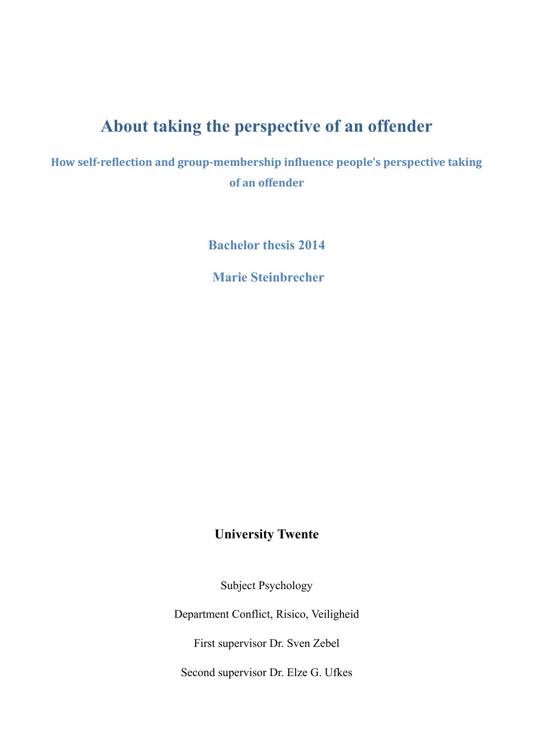# **About taking the perspective of an offender**

**How self-reflection and group-membership influence people's perspective taking of an offender**

**Bachelor thesis 2014**

 **Marie Steinbrecher**

# **University Twente**

Subject Psychology

Department Conflict, Risico, Veiligheid

First supervisor Dr. Sven Zebel

Second supervisor Dr. Elze G. Ufkes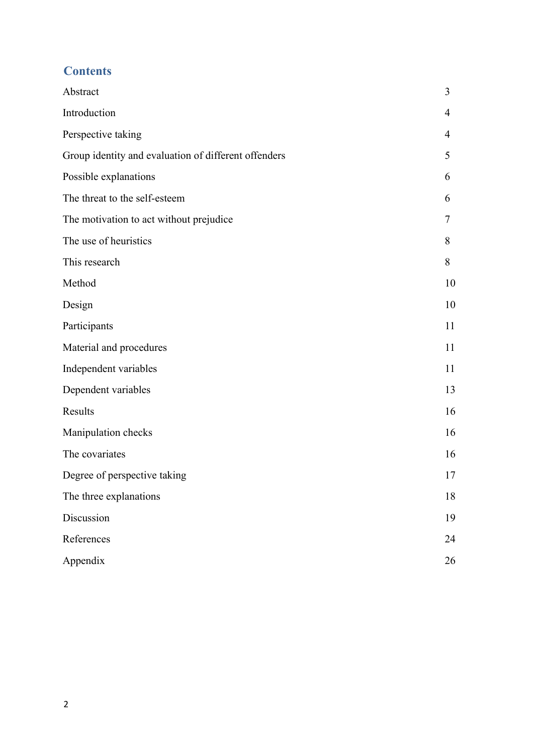## **Contents**

| Abstract                                             | 3  |
|------------------------------------------------------|----|
| Introduction                                         | 4  |
| Perspective taking                                   | 4  |
| Group identity and evaluation of different offenders | 5  |
| Possible explanations                                | 6  |
| The threat to the self-esteem                        | 6  |
| The motivation to act without prejudice              | 7  |
| The use of heuristics                                | 8  |
| This research                                        | 8  |
| Method                                               | 10 |
| Design                                               | 10 |
| Participants                                         | 11 |
| Material and procedures                              | 11 |
| Independent variables                                | 11 |
| Dependent variables                                  | 13 |
| Results                                              | 16 |
| Manipulation checks                                  | 16 |
| The covariates                                       | 16 |
| Degree of perspective taking                         | 17 |
| The three explanations                               | 18 |
| Discussion                                           | 19 |
| References                                           | 24 |
| Appendix                                             | 26 |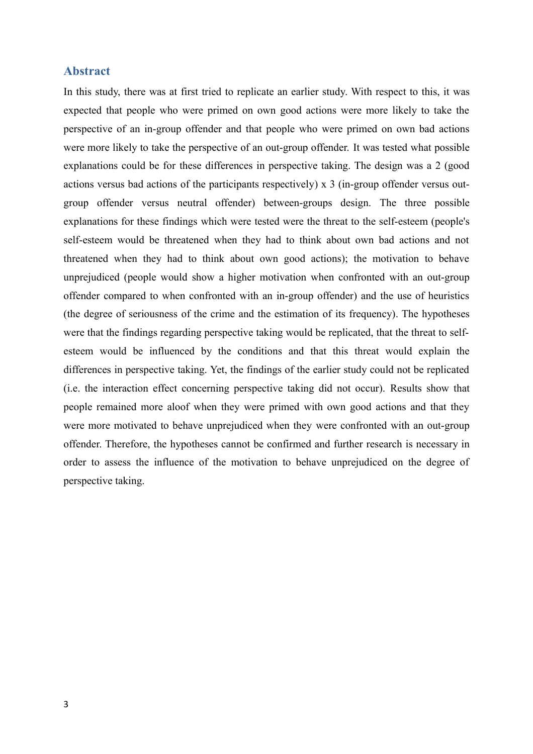### **Abstract**

In this study, there was at first tried to replicate an earlier study. With respect to this, it was expected that people who were primed on own good actions were more likely to take the perspective of an in-group offender and that people who were primed on own bad actions were more likely to take the perspective of an out-group offender. It was tested what possible explanations could be for these differences in perspective taking. The design was a 2 (good actions versus bad actions of the participants respectively) x 3 (in-group offender versus outgroup offender versus neutral offender) between-groups design. The three possible explanations for these findings which were tested were the threat to the self-esteem (people's self-esteem would be threatened when they had to think about own bad actions and not threatened when they had to think about own good actions); the motivation to behave unprejudiced (people would show a higher motivation when confronted with an out-group offender compared to when confronted with an in-group offender) and the use of heuristics (the degree of seriousness of the crime and the estimation of its frequency). The hypotheses were that the findings regarding perspective taking would be replicated, that the threat to selfesteem would be influenced by the conditions and that this threat would explain the differences in perspective taking. Yet, the findings of the earlier study could not be replicated (i.e. the interaction effect concerning perspective taking did not occur). Results show that people remained more aloof when they were primed with own good actions and that they were more motivated to behave unprejudiced when they were confronted with an out-group offender. Therefore, the hypotheses cannot be confirmed and further research is necessary in order to assess the influence of the motivation to behave unprejudiced on the degree of perspective taking.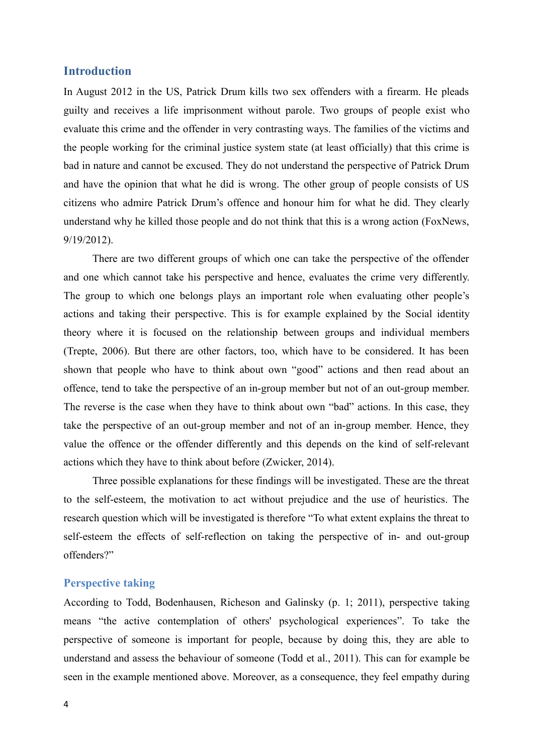### **Introduction**

In August 2012 in the US, Patrick Drum kills two sex offenders with a firearm. He pleads guilty and receives a life imprisonment without parole. Two groups of people exist who evaluate this crime and the offender in very contrasting ways. The families of the victims and the people working for the criminal justice system state (at least officially) that this crime is bad in nature and cannot be excused. They do not understand the perspective of Patrick Drum and have the opinion that what he did is wrong. The other group of people consists of US citizens who admire Patrick Drum's offence and honour him for what he did. They clearly understand why he killed those people and do not think that this is a wrong action (FoxNews, 9/19/2012).

There are two different groups of which one can take the perspective of the offender and one which cannot take his perspective and hence, evaluates the crime very differently. The group to which one belongs plays an important role when evaluating other people's actions and taking their perspective. This is for example explained by the Social identity theory where it is focused on the relationship between groups and individual members (Trepte, 2006). But there are other factors, too, which have to be considered. It has been shown that people who have to think about own "good" actions and then read about an offence, tend to take the perspective of an in-group member but not of an out-group member. The reverse is the case when they have to think about own "bad" actions. In this case, they take the perspective of an out-group member and not of an in-group member. Hence, they value the offence or the offender differently and this depends on the kind of self-relevant actions which they have to think about before (Zwicker, 2014).

Three possible explanations for these findings will be investigated. These are the threat to the self-esteem, the motivation to act without prejudice and the use of heuristics. The research question which will be investigated is therefore "To what extent explains the threat to self-esteem the effects of self-reflection on taking the perspective of in- and out-group offenders?"

### **Perspective taking**

According to Todd, Bodenhausen, Richeson and Galinsky (p. 1; 2011), perspective taking means "the active contemplation of others' psychological experiences". To take the perspective of someone is important for people, because by doing this, they are able to understand and assess the behaviour of someone (Todd et al., 2011). This can for example be seen in the example mentioned above. Moreover, as a consequence, they feel empathy during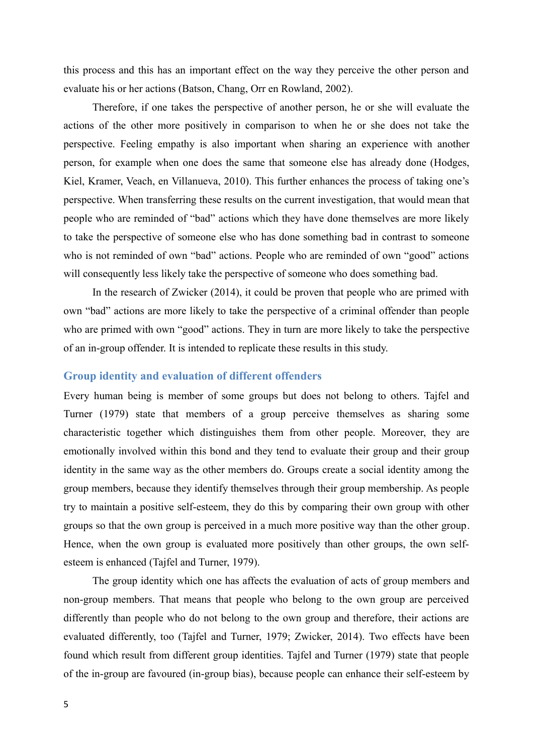this process and this has an important effect on the way they perceive the other person and evaluate his or her actions (Batson, Chang, Orr en Rowland, 2002).

Therefore, if one takes the perspective of another person, he or she will evaluate the actions of the other more positively in comparison to when he or she does not take the perspective. Feeling empathy is also important when sharing an experience with another person, for example when one does the same that someone else has already done (Hodges, Kiel, Kramer, Veach, en Villanueva, 2010). This further enhances the process of taking one's perspective. When transferring these results on the current investigation, that would mean that people who are reminded of "bad" actions which they have done themselves are more likely to take the perspective of someone else who has done something bad in contrast to someone who is not reminded of own "bad" actions. People who are reminded of own "good" actions will consequently less likely take the perspective of someone who does something bad.

In the research of Zwicker (2014), it could be proven that people who are primed with own "bad" actions are more likely to take the perspective of a criminal offender than people who are primed with own "good" actions. They in turn are more likely to take the perspective of an in-group offender. It is intended to replicate these results in this study.

#### **Group identity and evaluation of different offenders**

Every human being is member of some groups but does not belong to others. Tajfel and Turner (1979) state that members of a group perceive themselves as sharing some characteristic together which distinguishes them from other people. Moreover, they are emotionally involved within this bond and they tend to evaluate their group and their group identity in the same way as the other members do. Groups create a social identity among the group members, because they identify themselves through their group membership. As people try to maintain a positive self-esteem, they do this by comparing their own group with other groups so that the own group is perceived in a much more positive way than the other group. Hence, when the own group is evaluated more positively than other groups, the own selfesteem is enhanced (Tajfel and Turner, 1979).

The group identity which one has affects the evaluation of acts of group members and non-group members. That means that people who belong to the own group are perceived differently than people who do not belong to the own group and therefore, their actions are evaluated differently, too (Tajfel and Turner, 1979; Zwicker, 2014). Two effects have been found which result from different group identities. Tajfel and Turner (1979) state that people of the in-group are favoured (in-group bias), because people can enhance their self-esteem by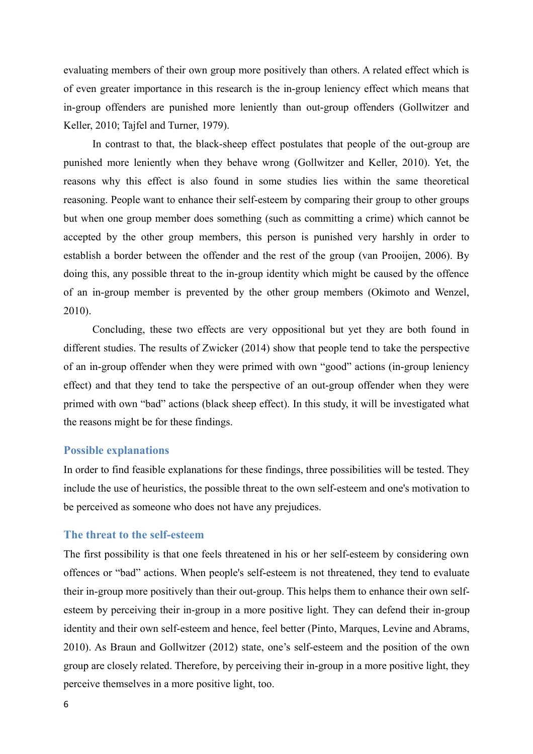evaluating members of their own group more positively than others. A related effect which is of even greater importance in this research is the in-group leniency effect which means that in-group offenders are punished more leniently than out-group offenders (Gollwitzer and Keller, 2010; Tajfel and Turner, 1979).

In contrast to that, the black-sheep effect postulates that people of the out-group are punished more leniently when they behave wrong (Gollwitzer and Keller, 2010). Yet, the reasons why this effect is also found in some studies lies within the same theoretical reasoning. People want to enhance their self-esteem by comparing their group to other groups but when one group member does something (such as committing a crime) which cannot be accepted by the other group members, this person is punished very harshly in order to establish a border between the offender and the rest of the group (van Prooijen, 2006). By doing this, any possible threat to the in-group identity which might be caused by the offence of an in-group member is prevented by the other group members (Okimoto and Wenzel, 2010).

Concluding, these two effects are very oppositional but yet they are both found in different studies. The results of Zwicker (2014) show that people tend to take the perspective of an in-group offender when they were primed with own "good" actions (in-group leniency effect) and that they tend to take the perspective of an out-group offender when they were primed with own "bad" actions (black sheep effect). In this study, it will be investigated what the reasons might be for these findings.

#### **Possible explanations**

In order to find feasible explanations for these findings, three possibilities will be tested. They include the use of heuristics, the possible threat to the own self-esteem and one's motivation to be perceived as someone who does not have any prejudices.

### **The threat to the self-esteem**

The first possibility is that one feels threatened in his or her self-esteem by considering own offences or "bad" actions. When people's self-esteem is not threatened, they tend to evaluate their in-group more positively than their out-group. This helps them to enhance their own selfesteem by perceiving their in-group in a more positive light. They can defend their in-group identity and their own self-esteem and hence, feel better (Pinto, Marques, Levine and Abrams, 2010). As Braun and Gollwitzer (2012) state, one's self-esteem and the position of the own group are closely related. Therefore, by perceiving their in-group in a more positive light, they perceive themselves in a more positive light, too.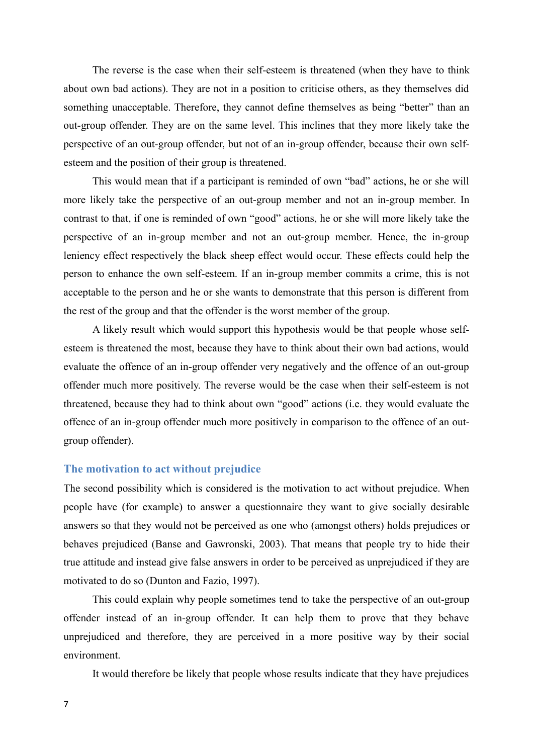The reverse is the case when their self-esteem is threatened (when they have to think about own bad actions). They are not in a position to criticise others, as they themselves did something unacceptable. Therefore, they cannot define themselves as being "better" than an out-group offender. They are on the same level. This inclines that they more likely take the perspective of an out-group offender, but not of an in-group offender, because their own selfesteem and the position of their group is threatened.

This would mean that if a participant is reminded of own "bad" actions, he or she will more likely take the perspective of an out-group member and not an in-group member. In contrast to that, if one is reminded of own "good" actions, he or she will more likely take the perspective of an in-group member and not an out-group member. Hence, the in-group leniency effect respectively the black sheep effect would occur. These effects could help the person to enhance the own self-esteem. If an in-group member commits a crime, this is not acceptable to the person and he or she wants to demonstrate that this person is different from the rest of the group and that the offender is the worst member of the group.

A likely result which would support this hypothesis would be that people whose selfesteem is threatened the most, because they have to think about their own bad actions, would evaluate the offence of an in-group offender very negatively and the offence of an out-group offender much more positively. The reverse would be the case when their self-esteem is not threatened, because they had to think about own "good" actions (i.e. they would evaluate the offence of an in-group offender much more positively in comparison to the offence of an outgroup offender).

#### **The motivation to act without prejudice**

The second possibility which is considered is the motivation to act without prejudice. When people have (for example) to answer a questionnaire they want to give socially desirable answers so that they would not be perceived as one who (amongst others) holds prejudices or behaves prejudiced (Banse and Gawronski, 2003). That means that people try to hide their true attitude and instead give false answers in order to be perceived as unprejudiced if they are motivated to do so (Dunton and Fazio, 1997).

This could explain why people sometimes tend to take the perspective of an out-group offender instead of an in-group offender. It can help them to prove that they behave unprejudiced and therefore, they are perceived in a more positive way by their social environment.

It would therefore be likely that people whose results indicate that they have prejudices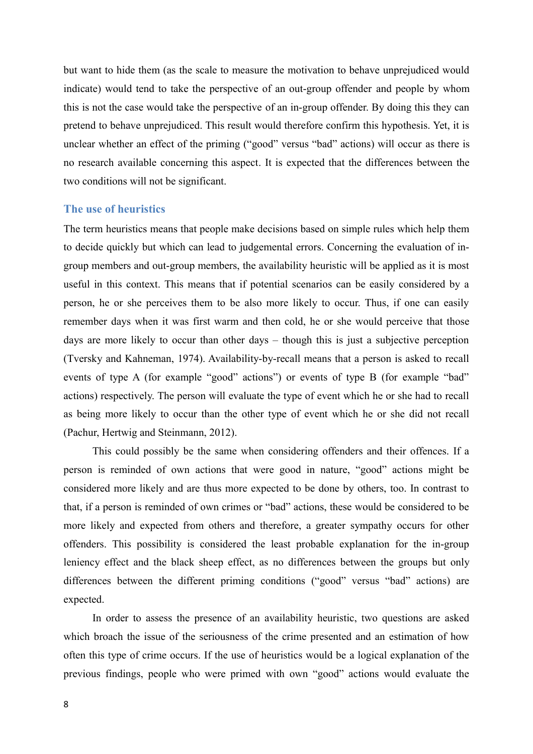but want to hide them (as the scale to measure the motivation to behave unprejudiced would indicate) would tend to take the perspective of an out-group offender and people by whom this is not the case would take the perspective of an in-group offender. By doing this they can pretend to behave unprejudiced. This result would therefore confirm this hypothesis. Yet, it is unclear whether an effect of the priming ("good" versus "bad" actions) will occur as there is no research available concerning this aspect. It is expected that the differences between the two conditions will not be significant.

#### **The use of heuristics**

The term heuristics means that people make decisions based on simple rules which help them to decide quickly but which can lead to judgemental errors. Concerning the evaluation of ingroup members and out-group members, the availability heuristic will be applied as it is most useful in this context. This means that if potential scenarios can be easily considered by a person, he or she perceives them to be also more likely to occur. Thus, if one can easily remember days when it was first warm and then cold, he or she would perceive that those days are more likely to occur than other days – though this is just a subjective perception (Tversky and Kahneman, 1974). Availability-by-recall means that a person is asked to recall events of type A (for example "good" actions") or events of type B (for example "bad" actions) respectively. The person will evaluate the type of event which he or she had to recall as being more likely to occur than the other type of event which he or she did not recall (Pachur, Hertwig and Steinmann, 2012).

This could possibly be the same when considering offenders and their offences. If a person is reminded of own actions that were good in nature, "good" actions might be considered more likely and are thus more expected to be done by others, too. In contrast to that, if a person is reminded of own crimes or "bad" actions, these would be considered to be more likely and expected from others and therefore, a greater sympathy occurs for other offenders. This possibility is considered the least probable explanation for the in-group leniency effect and the black sheep effect, as no differences between the groups but only differences between the different priming conditions ("good" versus "bad" actions) are expected.

In order to assess the presence of an availability heuristic, two questions are asked which broach the issue of the seriousness of the crime presented and an estimation of how often this type of crime occurs. If the use of heuristics would be a logical explanation of the previous findings, people who were primed with own "good" actions would evaluate the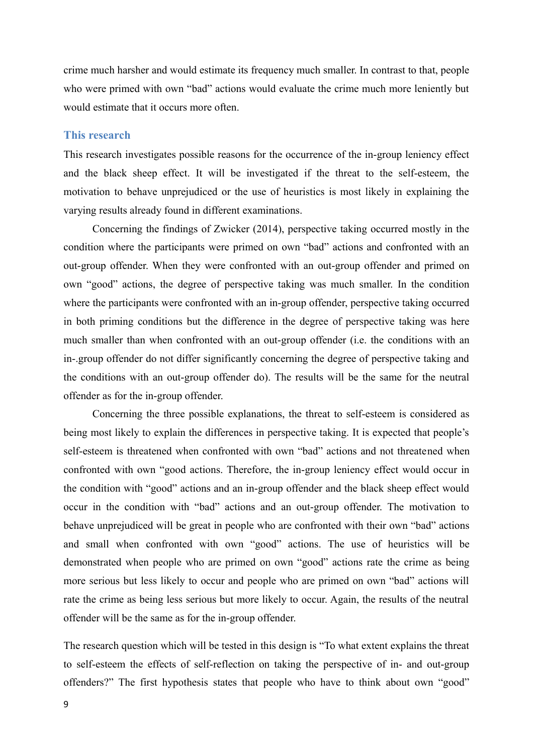crime much harsher and would estimate its frequency much smaller. In contrast to that, people who were primed with own "bad" actions would evaluate the crime much more leniently but would estimate that it occurs more often.

### **This research**

This research investigates possible reasons for the occurrence of the in-group leniency effect and the black sheep effect. It will be investigated if the threat to the self-esteem, the motivation to behave unprejudiced or the use of heuristics is most likely in explaining the varying results already found in different examinations.

Concerning the findings of Zwicker (2014), perspective taking occurred mostly in the condition where the participants were primed on own "bad" actions and confronted with an out-group offender. When they were confronted with an out-group offender and primed on own "good" actions, the degree of perspective taking was much smaller. In the condition where the participants were confronted with an in-group offender, perspective taking occurred in both priming conditions but the difference in the degree of perspective taking was here much smaller than when confronted with an out-group offender (i.e. the conditions with an in-.group offender do not differ significantly concerning the degree of perspective taking and the conditions with an out-group offender do). The results will be the same for the neutral offender as for the in-group offender.

Concerning the three possible explanations, the threat to self-esteem is considered as being most likely to explain the differences in perspective taking. It is expected that people's self-esteem is threatened when confronted with own "bad" actions and not threatened when confronted with own "good actions. Therefore, the in-group leniency effect would occur in the condition with "good" actions and an in-group offender and the black sheep effect would occur in the condition with "bad" actions and an out-group offender. The motivation to behave unprejudiced will be great in people who are confronted with their own "bad" actions and small when confronted with own "good" actions. The use of heuristics will be demonstrated when people who are primed on own "good" actions rate the crime as being more serious but less likely to occur and people who are primed on own "bad" actions will rate the crime as being less serious but more likely to occur. Again, the results of the neutral offender will be the same as for the in-group offender.

The research question which will be tested in this design is "To what extent explains the threat to self-esteem the effects of self-reflection on taking the perspective of in- and out-group offenders?" The first hypothesis states that people who have to think about own "good"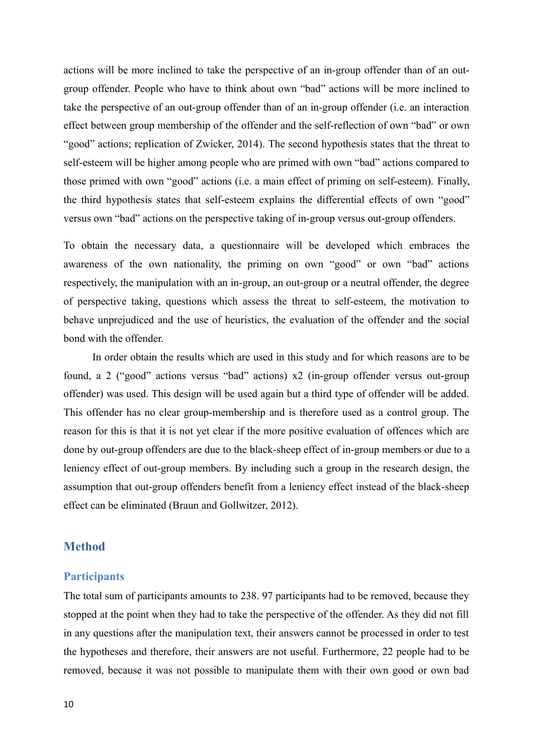actions will be more inclined to take the perspective of an in-group offender than of an outgroup offender. People who have to think about own "bad" actions will be more inclined to take the perspective of an out-group offender than of an in-group offender (i.e. an interaction effect between group membership of the offender and the self-reflection of own "bad" or own "good" actions; replication of Zwicker, 2014). The second hypothesis states that the threat to self-esteem will be higher among people who are primed with own "bad" actions compared to those primed with own "good" actions (i.e. a main effect of priming on self-esteem). Finally, the third hypothesis states that self-esteem explains the differential effects of own "good" versus own "bad" actions on the perspective taking of in-group versus out-group offenders.

To obtain the necessary data, a questionnaire will be developed which embraces the awareness of the own nationality, the priming on own "good" or own "bad" actions respectively, the manipulation with an in-group, an out-group or a neutral offender, the degree of perspective taking, questions which assess the threat to self-esteem, the motivation to behave unprejudiced and the use of heuristics, the evaluation of the offender and the social bond with the offender.

In order obtain the results which are used in this study and for which reasons are to be found, a 2 ("good" actions versus "bad" actions) x2 (in-group offender versus out-group offender) was used. This design will be used again but a third type of offender will be added. This offender has no clear group-membership and is therefore used as a control group. The reason for this is that it is not yet clear if the more positive evaluation of offences which are done by out-group offenders are due to the black-sheep effect of in-group members or due to a leniency effect of out-group members. By including such a group in the research design, the assumption that out-group offenders benefit from a leniency effect instead of the black-sheep effect can be eliminated (Braun and Gollwitzer, 2012).

### **Method**

### **Participants**

The total sum of participants amounts to 238. 97 participants had to be removed, because they stopped at the point when they had to take the perspective of the offender. As they did not fill in any questions after the manipulation text, their answers cannot be processed in order to test the hypotheses and therefore, their answers are not useful. Furthermore, 22 people had to be removed, because it was not possible to manipulate them with their own good or own bad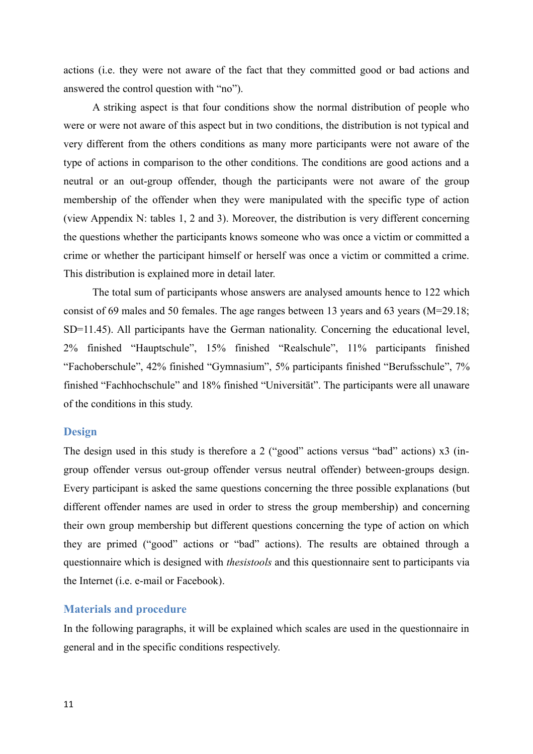actions (i.e. they were not aware of the fact that they committed good or bad actions and answered the control question with "no").

A striking aspect is that four conditions show the normal distribution of people who were or were not aware of this aspect but in two conditions, the distribution is not typical and very different from the others conditions as many more participants were not aware of the type of actions in comparison to the other conditions. The conditions are good actions and a neutral or an out-group offender, though the participants were not aware of the group membership of the offender when they were manipulated with the specific type of action (view Appendix N: tables 1, 2 and 3). Moreover, the distribution is very different concerning the questions whether the participants knows someone who was once a victim or committed a crime or whether the participant himself or herself was once a victim or committed a crime. This distribution is explained more in detail later.

The total sum of participants whose answers are analysed amounts hence to 122 which consist of 69 males and 50 females. The age ranges between 13 years and 63 years (M=29.18; SD=11.45). All participants have the German nationality. Concerning the educational level, 2% finished "Hauptschule", 15% finished "Realschule", 11% participants finished "Fachoberschule", 42% finished "Gymnasium", 5% participants finished "Berufsschule", 7% finished "Fachhochschule" and 18% finished "Universität". The participants were all unaware of the conditions in this study.

#### **Design**

The design used in this study is therefore a 2 ("good" actions versus "bad" actions) x3 (ingroup offender versus out-group offender versus neutral offender) between-groups design. Every participant is asked the same questions concerning the three possible explanations (but different offender names are used in order to stress the group membership) and concerning their own group membership but different questions concerning the type of action on which they are primed ("good" actions or "bad" actions). The results are obtained through a questionnaire which is designed with *thesistools* and this questionnaire sent to participants via the Internet (i.e. e-mail or Facebook).

#### **Materials and procedure**

In the following paragraphs, it will be explained which scales are used in the questionnaire in general and in the specific conditions respectively.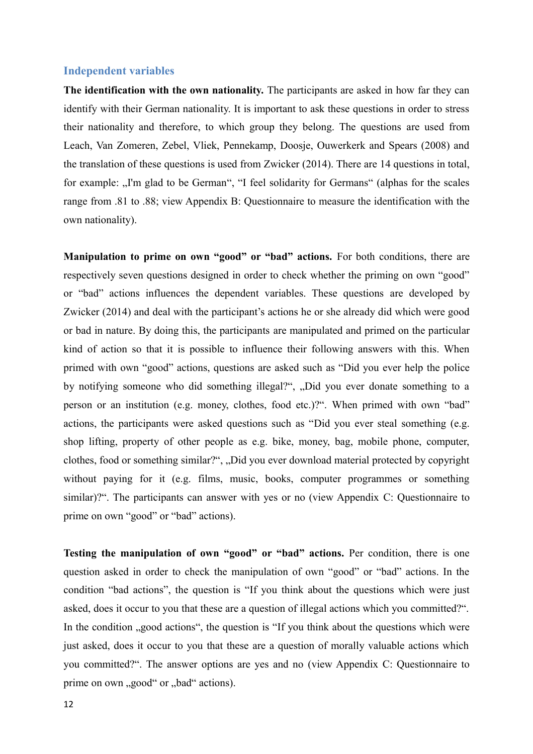#### **Independent variables**

**The identification with the own nationality.** The participants are asked in how far they can identify with their German nationality. It is important to ask these questions in order to stress their nationality and therefore, to which group they belong. The questions are used from Leach, Van Zomeren, Zebel, Vliek, Pennekamp, Doosje, Ouwerkerk and Spears (2008) and the translation of these questions is used from Zwicker (2014). There are 14 questions in total, for example: "I'm glad to be German", "I feel solidarity for Germans" (alphas for the scales range from .81 to .88; view Appendix B: Questionnaire to measure the identification with the own nationality).

**Manipulation to prime on own "good" or "bad" actions.** For both conditions, there are respectively seven questions designed in order to check whether the priming on own "good" or "bad" actions influences the dependent variables. These questions are developed by Zwicker (2014) and deal with the participant's actions he or she already did which were good or bad in nature. By doing this, the participants are manipulated and primed on the particular kind of action so that it is possible to influence their following answers with this. When primed with own "good" actions, questions are asked such as "Did you ever help the police by notifying someone who did something illegal?", "Did you ever donate something to a person or an institution (e.g. money, clothes, food etc.)?". When primed with own "bad" actions, the participants were asked questions such as "Did you ever steal something (e.g. shop lifting, property of other people as e.g. bike, money, bag, mobile phone, computer, clothes, food or something similar?", "Did you ever download material protected by copyright without paying for it (e.g. films, music, books, computer programmes or something similar)?". The participants can answer with yes or no (view Appendix C: Questionnaire to prime on own "good" or "bad" actions).

**Testing the manipulation of own "good" or "bad" actions.** Per condition, there is one question asked in order to check the manipulation of own "good" or "bad" actions. In the condition "bad actions", the question is "If you think about the questions which were just asked, does it occur to you that these are a question of illegal actions which you committed?". In the condition , good actions", the question is "If you think about the questions which were just asked, does it occur to you that these are a question of morally valuable actions which you committed?". The answer options are yes and no (view Appendix C: Questionnaire to prime on own "good" or "bad" actions).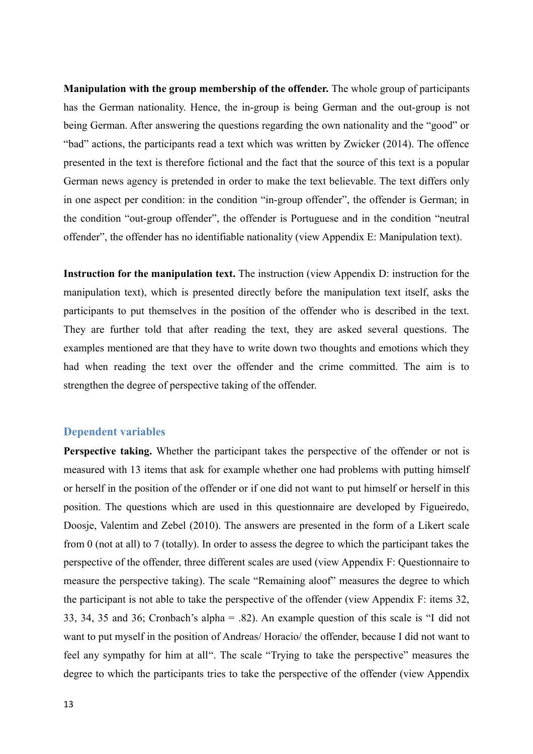**Manipulation with the group membership of the offender.** The whole group of participants has the German nationality. Hence, the in-group is being German and the out-group is not being German. After answering the questions regarding the own nationality and the "good" or "bad" actions, the participants read a text which was written by Zwicker (2014). The offence presented in the text is therefore fictional and the fact that the source of this text is a popular German news agency is pretended in order to make the text believable. The text differs only in one aspect per condition: in the condition "in-group offender", the offender is German; in the condition "out-group offender", the offender is Portuguese and in the condition "neutral offender", the offender has no identifiable nationality (view Appendix E: Manipulation text).

**Instruction for the manipulation text.** The instruction (view Appendix D: instruction for the manipulation text), which is presented directly before the manipulation text itself, asks the participants to put themselves in the position of the offender who is described in the text. They are further told that after reading the text, they are asked several questions. The examples mentioned are that they have to write down two thoughts and emotions which they had when reading the text over the offender and the crime committed. The aim is to strengthen the degree of perspective taking of the offender.

### **Dependent variables**

**Perspective taking.** Whether the participant takes the perspective of the offender or not is measured with 13 items that ask for example whether one had problems with putting himself or herself in the position of the offender or if one did not want to put himself or herself in this position. The questions which are used in this questionnaire are developed by Figueiredo, Doosje, Valentim and Zebel (2010). The answers are presented in the form of a Likert scale from 0 (not at all) to 7 (totally). In order to assess the degree to which the participant takes the perspective of the offender, three different scales are used (view Appendix F: Questionnaire to measure the perspective taking). The scale "Remaining aloof" measures the degree to which the participant is not able to take the perspective of the offender (view Appendix F: items 32, 33, 34, 35 and 36; Cronbach's alpha = .82). An example question of this scale is "I did not want to put myself in the position of Andreas/ Horacio/ the offender, because I did not want to feel any sympathy for him at all". The scale "Trying to take the perspective" measures the degree to which the participants tries to take the perspective of the offender (view Appendix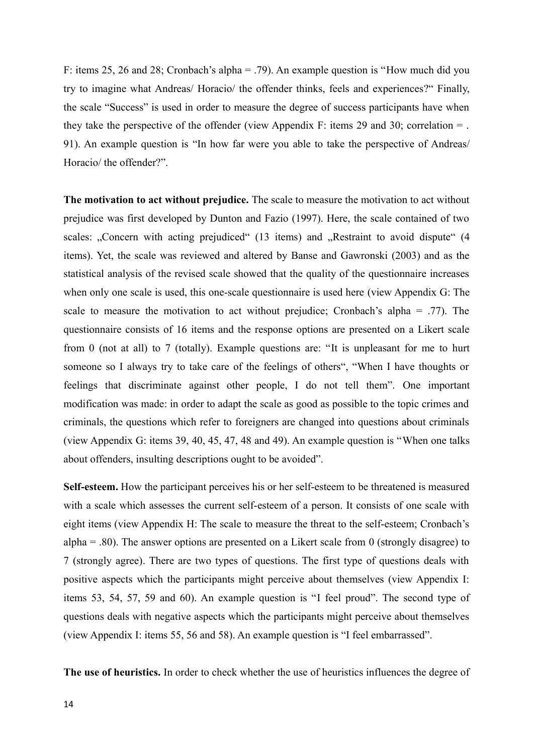F: items 25, 26 and 28; Cronbach's alpha = .79). An example question is "How much did you try to imagine what Andreas/ Horacio/ the offender thinks, feels and experiences?" Finally, the scale "Success" is used in order to measure the degree of success participants have when they take the perspective of the offender (view Appendix F: items 29 and 30; correlation  $=$  . 91). An example question is "In how far were you able to take the perspective of Andreas/ Horacio/ the offender?".

**The motivation to act without prejudice.** The scale to measure the motivation to act without prejudice was first developed by Dunton and Fazio (1997). Here, the scale contained of two scales: "Concern with acting prejudiced" (13 items) and "Restraint to avoid dispute" (4 items). Yet, the scale was reviewed and altered by Banse and Gawronski (2003) and as the statistical analysis of the revised scale showed that the quality of the questionnaire increases when only one scale is used, this one-scale questionnaire is used here (view Appendix G: The scale to measure the motivation to act without prejudice; Cronbach's alpha  $= .77$ ). The questionnaire consists of 16 items and the response options are presented on a Likert scale from 0 (not at all) to 7 (totally). Example questions are: "It is unpleasant for me to hurt someone so I always try to take care of the feelings of others", "When I have thoughts or feelings that discriminate against other people, I do not tell them". One important modification was made: in order to adapt the scale as good as possible to the topic crimes and criminals, the questions which refer to foreigners are changed into questions about criminals (view Appendix G: items 39, 40, 45, 47, 48 and 49). An example question is "When one talks about offenders, insulting descriptions ought to be avoided".

**Self-esteem.** How the participant perceives his or her self-esteem to be threatened is measured with a scale which assesses the current self-esteem of a person. It consists of one scale with eight items (view Appendix H: The scale to measure the threat to the self-esteem; Cronbach's alpha  $= .80$ ). The answer options are presented on a Likert scale from 0 (strongly disagree) to 7 (strongly agree). There are two types of questions. The first type of questions deals with positive aspects which the participants might perceive about themselves (view Appendix I: items 53, 54, 57, 59 and 60). An example question is "I feel proud". The second type of questions deals with negative aspects which the participants might perceive about themselves (view Appendix I: items 55, 56 and 58). An example question is "I feel embarrassed".

**The use of heuristics.** In order to check whether the use of heuristics influences the degree of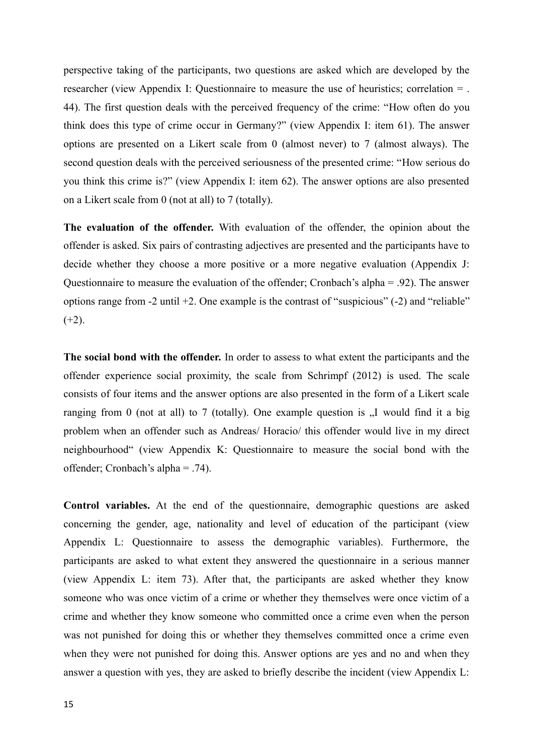perspective taking of the participants, two questions are asked which are developed by the researcher (view Appendix I: Questionnaire to measure the use of heuristics; correlation = . 44). The first question deals with the perceived frequency of the crime: "How often do you think does this type of crime occur in Germany?" (view Appendix I: item 61). The answer options are presented on a Likert scale from 0 (almost never) to 7 (almost always). The second question deals with the perceived seriousness of the presented crime: "How serious do you think this crime is?" (view Appendix I: item 62). The answer options are also presented on a Likert scale from 0 (not at all) to 7 (totally).

**The evaluation of the offender.** With evaluation of the offender, the opinion about the offender is asked. Six pairs of contrasting adjectives are presented and the participants have to decide whether they choose a more positive or a more negative evaluation (Appendix J: Questionnaire to measure the evaluation of the offender; Cronbach's alpha = .92). The answer options range from -2 until +2. One example is the contrast of "suspicious" (-2) and "reliable"  $(+2)$ .

**The social bond with the offender.** In order to assess to what extent the participants and the offender experience social proximity, the scale from Schrimpf (2012) is used. The scale consists of four items and the answer options are also presented in the form of a Likert scale ranging from 0 (not at all) to 7 (totally). One example question is  $\mathcal{F}$  would find it a big problem when an offender such as Andreas/ Horacio/ this offender would live in my direct neighbourhood" (view Appendix K: Questionnaire to measure the social bond with the offender; Cronbach's alpha = .74).

**Control variables.** At the end of the questionnaire, demographic questions are asked concerning the gender, age, nationality and level of education of the participant (view Appendix L: Questionnaire to assess the demographic variables). Furthermore, the participants are asked to what extent they answered the questionnaire in a serious manner (view Appendix L: item 73). After that, the participants are asked whether they know someone who was once victim of a crime or whether they themselves were once victim of a crime and whether they know someone who committed once a crime even when the person was not punished for doing this or whether they themselves committed once a crime even when they were not punished for doing this. Answer options are yes and no and when they answer a question with yes, they are asked to briefly describe the incident (view Appendix L: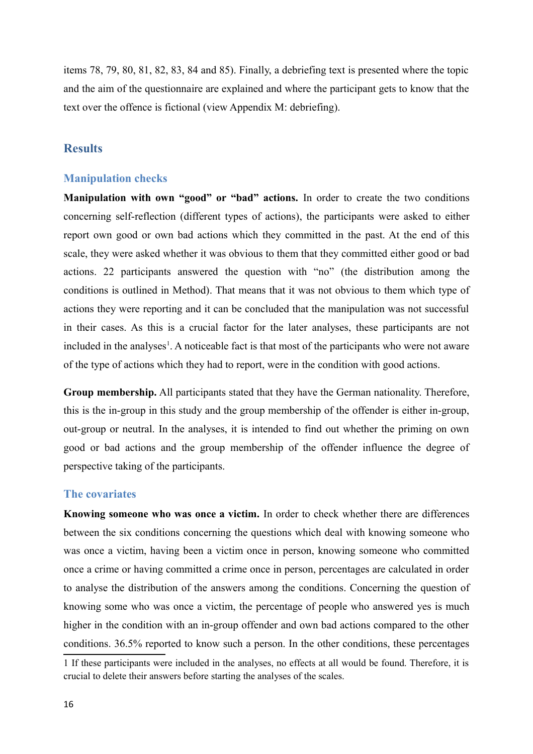items 78, 79, 80, 81, 82, 83, 84 and 85). Finally, a debriefing text is presented where the topic and the aim of the questionnaire are explained and where the participant gets to know that the text over the offence is fictional (view Appendix M: debriefing).

### **Results**

### **Manipulation checks**

**Manipulation with own "good" or "bad" actions.** In order to create the two conditions concerning self-reflection (different types of actions), the participants were asked to either report own good or own bad actions which they committed in the past. At the end of this scale, they were asked whether it was obvious to them that they committed either good or bad actions. 22 participants answered the question with "no" (the distribution among the conditions is outlined in Method). That means that it was not obvious to them which type of actions they were reporting and it can be concluded that the manipulation was not successful in their cases. As this is a crucial factor for the later analyses, these participants are not included in the analyses<sup>[1](#page-15-0)</sup>. A noticeable fact is that most of the participants who were not aware of the type of actions which they had to report, were in the condition with good actions.

**Group membership.** All participants stated that they have the German nationality. Therefore, this is the in-group in this study and the group membership of the offender is either in-group, out-group or neutral. In the analyses, it is intended to find out whether the priming on own good or bad actions and the group membership of the offender influence the degree of perspective taking of the participants.

### **The covariates**

**Knowing someone who was once a victim.** In order to check whether there are differences between the six conditions concerning the questions which deal with knowing someone who was once a victim, having been a victim once in person, knowing someone who committed once a crime or having committed a crime once in person, percentages are calculated in order to analyse the distribution of the answers among the conditions. Concerning the question of knowing some who was once a victim, the percentage of people who answered yes is much higher in the condition with an in-group offender and own bad actions compared to the other conditions. 36.5% reported to know such a person. In the other conditions, these percentages

<span id="page-15-0"></span><sup>1</sup> If these participants were included in the analyses, no effects at all would be found. Therefore, it is crucial to delete their answers before starting the analyses of the scales.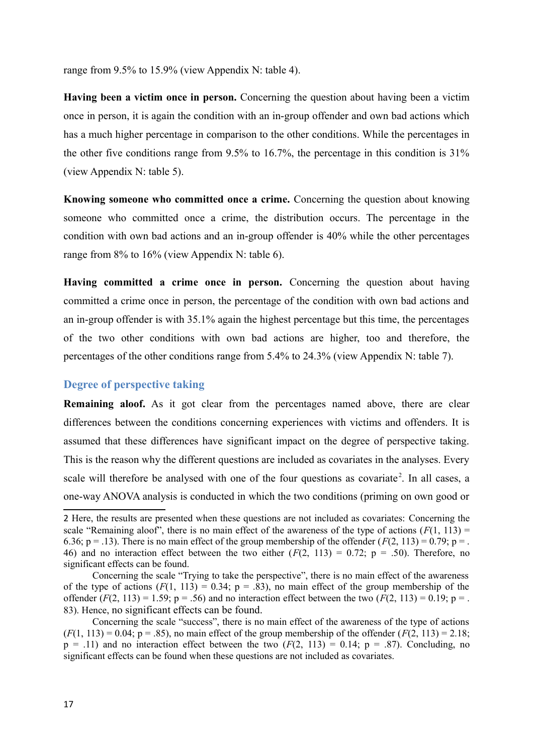range from 9.5% to 15.9% (view Appendix N: table 4).

**Having been a victim once in person.** Concerning the question about having been a victim once in person, it is again the condition with an in-group offender and own bad actions which has a much higher percentage in comparison to the other conditions. While the percentages in the other five conditions range from 9.5% to 16.7%, the percentage in this condition is 31% (view Appendix N: table 5).

**Knowing someone who committed once a crime.** Concerning the question about knowing someone who committed once a crime, the distribution occurs. The percentage in the condition with own bad actions and an in-group offender is 40% while the other percentages range from 8% to 16% (view Appendix N: table 6).

**Having committed a crime once in person.** Concerning the question about having committed a crime once in person, the percentage of the condition with own bad actions and an in-group offender is with 35.1% again the highest percentage but this time, the percentages of the two other conditions with own bad actions are higher, too and therefore, the percentages of the other conditions range from 5.4% to 24.3% (view Appendix N: table 7).

### **Degree of perspective taking**

**Remaining aloof.** As it got clear from the percentages named above, there are clear differences between the conditions concerning experiences with victims and offenders. It is assumed that these differences have significant impact on the degree of perspective taking. This is the reason why the different questions are included as covariates in the analyses. Every scale will therefore be analysed with one of the four questions as covariate<sup>[2](#page-16-0)</sup>. In all cases, a one-way ANOVA analysis is conducted in which the two conditions (priming on own good or

<span id="page-16-0"></span><sup>2</sup> Here, the results are presented when these questions are not included as covariates: Concerning the scale "Remaining aloof", there is no main effect of the awareness of the type of actions  $(F(1, 113)) =$ 6.36;  $p = .13$ ). There is no main effect of the group membership of the offender ( $F(2, 113) = 0.79$ ;  $p = .$ 46) and no interaction effect between the two either  $(F(2, 113) = 0.72; p = .50)$ . Therefore, no significant effects can be found.

Concerning the scale "Trying to take the perspective", there is no main effect of the awareness of the type of actions  $(F(1, 113) = 0.34; p = .83)$ , no main effect of the group membership of the offender  $(F(2, 113) = 1.59; p = .56)$  and no interaction effect between the two  $(F(2, 113) = 0.19; p = .$ 83). Hence, no significant effects can be found.

Concerning the scale "success", there is no main effect of the awareness of the type of actions  $(F(1, 113) = 0.04$ ;  $p = .85)$ , no main effect of the group membership of the offender  $(F(2, 113) = 2.18$ ;  $p = .11$ ) and no interaction effect between the two  $(F(2, 113) = 0.14; p = .87)$ . Concluding, no significant effects can be found when these questions are not included as covariates.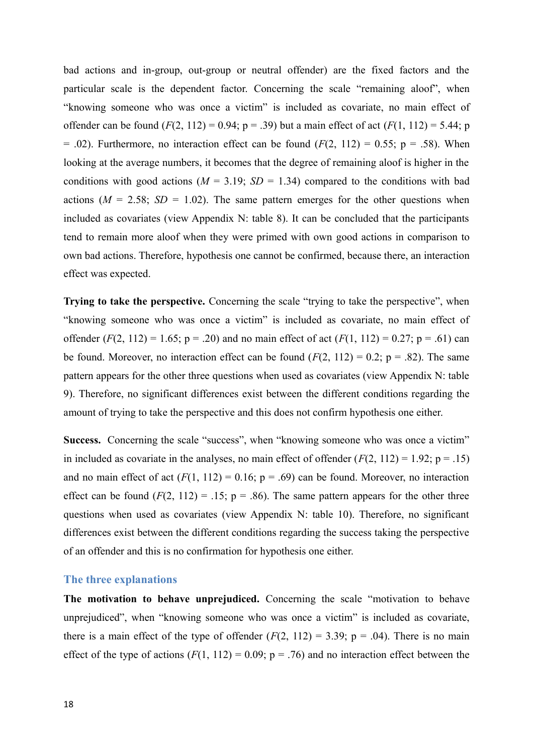bad actions and in-group, out-group or neutral offender) are the fixed factors and the particular scale is the dependent factor. Concerning the scale "remaining aloof", when "knowing someone who was once a victim" is included as covariate, no main effect of offender can be found  $(F(2, 112) = 0.94; p = .39)$  but a main effect of act  $(F(1, 112) = 5.44; p$  $= .02$ ). Furthermore, no interaction effect can be found  $(F(2, 112) = 0.55; p = .58)$ . When looking at the average numbers, it becomes that the degree of remaining aloof is higher in the conditions with good actions ( $M = 3.19$ ;  $SD = 1.34$ ) compared to the conditions with bad actions  $(M = 2.58; SD = 1.02)$ . The same pattern emerges for the other questions when included as covariates (view Appendix N: table 8). It can be concluded that the participants tend to remain more aloof when they were primed with own good actions in comparison to own bad actions. Therefore, hypothesis one cannot be confirmed, because there, an interaction effect was expected.

**Trying to take the perspective.** Concerning the scale "trying to take the perspective", when "knowing someone who was once a victim" is included as covariate, no main effect of offender  $(F(2, 112) = 1.65$ ;  $p = .20$ ) and no main effect of act  $(F(1, 112) = 0.27$ ;  $p = .61$ ) can be found. Moreover, no interaction effect can be found  $(F(2, 112) = 0.2; p = .82)$ . The same pattern appears for the other three questions when used as covariates (view Appendix N: table 9). Therefore, no significant differences exist between the different conditions regarding the amount of trying to take the perspective and this does not confirm hypothesis one either.

Success. Concerning the scale "success", when "knowing someone who was once a victim" in included as covariate in the analyses, no main effect of offender  $(F(2, 112) = 1.92; p = .15)$ and no main effect of act  $(F(1, 112) = 0.16; p = .69)$  can be found. Moreover, no interaction effect can be found  $(F(2, 112) = .15; p = .86)$ . The same pattern appears for the other three questions when used as covariates (view Appendix N: table 10). Therefore, no significant differences exist between the different conditions regarding the success taking the perspective of an offender and this is no confirmation for hypothesis one either.

#### **The three explanations**

**The motivation to behave unprejudiced.** Concerning the scale "motivation to behave unprejudiced", when "knowing someone who was once a victim" is included as covariate, there is a main effect of the type of offender  $(F(2, 112) = 3.39; p = .04)$ . There is no main effect of the type of actions  $(F(1, 112) = 0.09; p = .76)$  and no interaction effect between the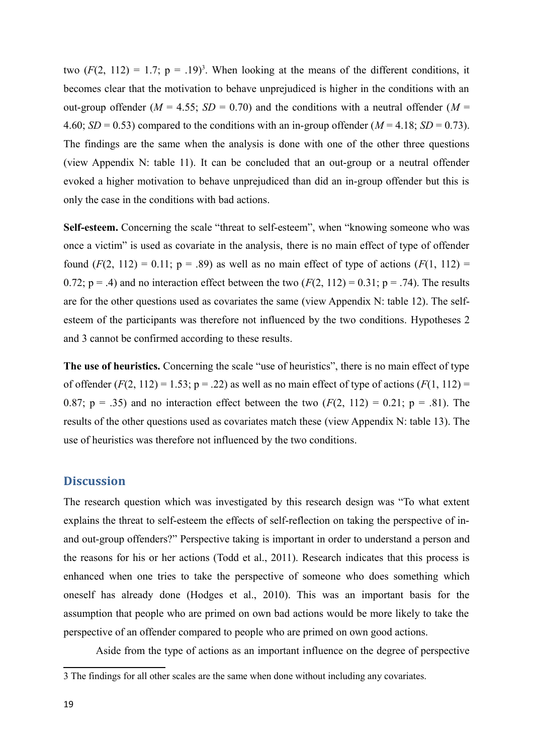two  $(F(2, 112) = 1.7; p = .19)^3$  $(F(2, 112) = 1.7; p = .19)^3$ . When looking at the means of the different conditions, it becomes clear that the motivation to behave unprejudiced is higher in the conditions with an out-group offender ( $M = 4.55$ ;  $SD = 0.70$ ) and the conditions with a neutral offender ( $M =$ 4.60;  $SD = 0.53$ ) compared to the conditions with an in-group offender ( $M = 4.18$ ;  $SD = 0.73$ ). The findings are the same when the analysis is done with one of the other three questions (view Appendix N: table 11). It can be concluded that an out-group or a neutral offender evoked a higher motivation to behave unprejudiced than did an in-group offender but this is only the case in the conditions with bad actions.

Self-esteem. Concerning the scale "threat to self-esteem", when "knowing someone who was once a victim" is used as covariate in the analysis, there is no main effect of type of offender found  $(F(2, 112) = 0.11$ ;  $p = .89$ ) as well as no main effect of type of actions  $(F(1, 112) =$ 0.72;  $p = .4$ ) and no interaction effect between the two  $(F(2, 112) = 0.31; p = .74)$ . The results are for the other questions used as covariates the same (view Appendix N: table 12). The selfesteem of the participants was therefore not influenced by the two conditions. Hypotheses 2 and 3 cannot be confirmed according to these results.

**The use of heuristics.** Concerning the scale "use of heuristics", there is no main effect of type of offender  $(F(2, 112) = 1.53; p = .22)$  as well as no main effect of type of actions  $(F(1, 112) =$ 0.87;  $p = .35$ ) and no interaction effect between the two  $(F(2, 112) = 0.21; p = .81)$ . The results of the other questions used as covariates match these (view Appendix N: table 13). The use of heuristics was therefore not influenced by the two conditions.

### **Discussion**

The research question which was investigated by this research design was "To what extent explains the threat to self-esteem the effects of self-reflection on taking the perspective of inand out-group offenders?" Perspective taking is important in order to understand a person and the reasons for his or her actions (Todd et al., 2011). Research indicates that this process is enhanced when one tries to take the perspective of someone who does something which oneself has already done (Hodges et al., 2010). This was an important basis for the assumption that people who are primed on own bad actions would be more likely to take the perspective of an offender compared to people who are primed on own good actions.

Aside from the type of actions as an important influence on the degree of perspective

<span id="page-18-0"></span><sup>3</sup> The findings for all other scales are the same when done without including any covariates.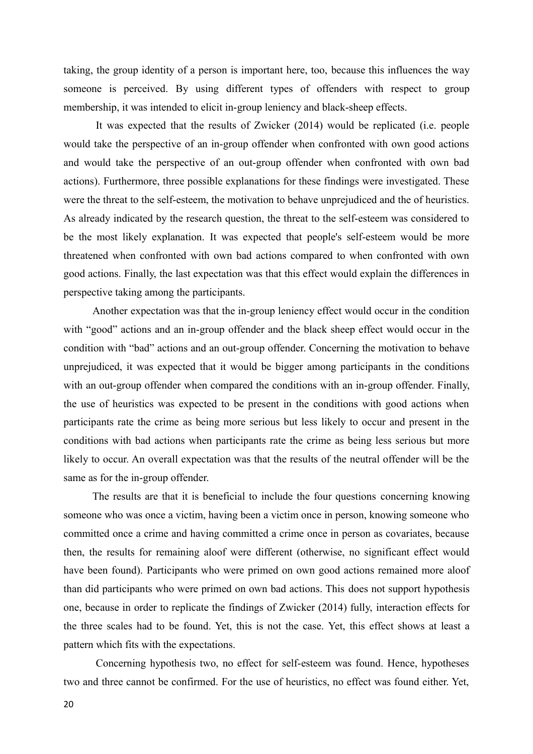taking, the group identity of a person is important here, too, because this influences the way someone is perceived. By using different types of offenders with respect to group membership, it was intended to elicit in-group leniency and black-sheep effects.

It was expected that the results of Zwicker (2014) would be replicated (i.e. people would take the perspective of an in-group offender when confronted with own good actions and would take the perspective of an out-group offender when confronted with own bad actions). Furthermore, three possible explanations for these findings were investigated. These were the threat to the self-esteem, the motivation to behave unprejudiced and the of heuristics. As already indicated by the research question, the threat to the self-esteem was considered to be the most likely explanation. It was expected that people's self-esteem would be more threatened when confronted with own bad actions compared to when confronted with own good actions. Finally, the last expectation was that this effect would explain the differences in perspective taking among the participants.

Another expectation was that the in-group leniency effect would occur in the condition with "good" actions and an in-group offender and the black sheep effect would occur in the condition with "bad" actions and an out-group offender. Concerning the motivation to behave unprejudiced, it was expected that it would be bigger among participants in the conditions with an out-group offender when compared the conditions with an in-group offender. Finally, the use of heuristics was expected to be present in the conditions with good actions when participants rate the crime as being more serious but less likely to occur and present in the conditions with bad actions when participants rate the crime as being less serious but more likely to occur. An overall expectation was that the results of the neutral offender will be the same as for the in-group offender.

The results are that it is beneficial to include the four questions concerning knowing someone who was once a victim, having been a victim once in person, knowing someone who committed once a crime and having committed a crime once in person as covariates, because then, the results for remaining aloof were different (otherwise, no significant effect would have been found). Participants who were primed on own good actions remained more aloof than did participants who were primed on own bad actions. This does not support hypothesis one, because in order to replicate the findings of Zwicker (2014) fully, interaction effects for the three scales had to be found. Yet, this is not the case. Yet, this effect shows at least a pattern which fits with the expectations.

Concerning hypothesis two, no effect for self-esteem was found. Hence, hypotheses two and three cannot be confirmed. For the use of heuristics, no effect was found either. Yet,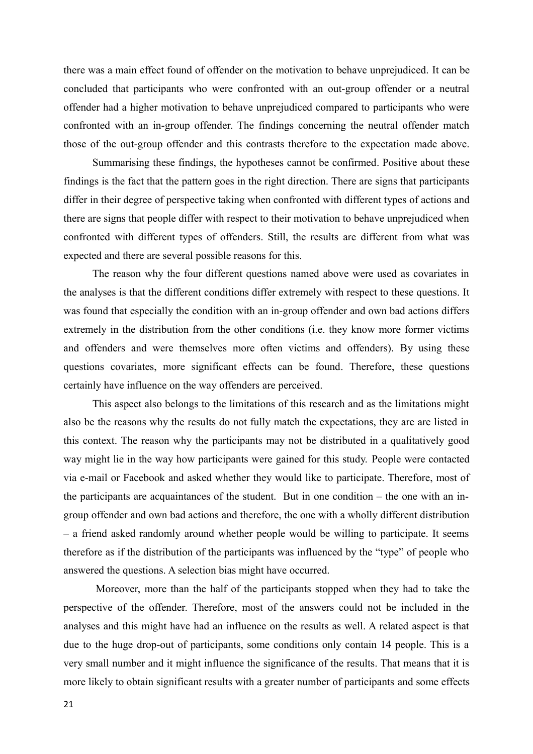there was a main effect found of offender on the motivation to behave unprejudiced. It can be concluded that participants who were confronted with an out-group offender or a neutral offender had a higher motivation to behave unprejudiced compared to participants who were confronted with an in-group offender. The findings concerning the neutral offender match those of the out-group offender and this contrasts therefore to the expectation made above.

Summarising these findings, the hypotheses cannot be confirmed. Positive about these findings is the fact that the pattern goes in the right direction. There are signs that participants differ in their degree of perspective taking when confronted with different types of actions and there are signs that people differ with respect to their motivation to behave unprejudiced when confronted with different types of offenders. Still, the results are different from what was expected and there are several possible reasons for this.

The reason why the four different questions named above were used as covariates in the analyses is that the different conditions differ extremely with respect to these questions. It was found that especially the condition with an in-group offender and own bad actions differs extremely in the distribution from the other conditions (i.e. they know more former victims and offenders and were themselves more often victims and offenders). By using these questions covariates, more significant effects can be found. Therefore, these questions certainly have influence on the way offenders are perceived.

This aspect also belongs to the limitations of this research and as the limitations might also be the reasons why the results do not fully match the expectations, they are are listed in this context. The reason why the participants may not be distributed in a qualitatively good way might lie in the way how participants were gained for this study. People were contacted via e-mail or Facebook and asked whether they would like to participate. Therefore, most of the participants are acquaintances of the student. But in one condition – the one with an ingroup offender and own bad actions and therefore, the one with a wholly different distribution – a friend asked randomly around whether people would be willing to participate. It seems therefore as if the distribution of the participants was influenced by the "type" of people who answered the questions. A selection bias might have occurred.

Moreover, more than the half of the participants stopped when they had to take the perspective of the offender. Therefore, most of the answers could not be included in the analyses and this might have had an influence on the results as well. A related aspect is that due to the huge drop-out of participants, some conditions only contain 14 people. This is a very small number and it might influence the significance of the results. That means that it is more likely to obtain significant results with a greater number of participants and some effects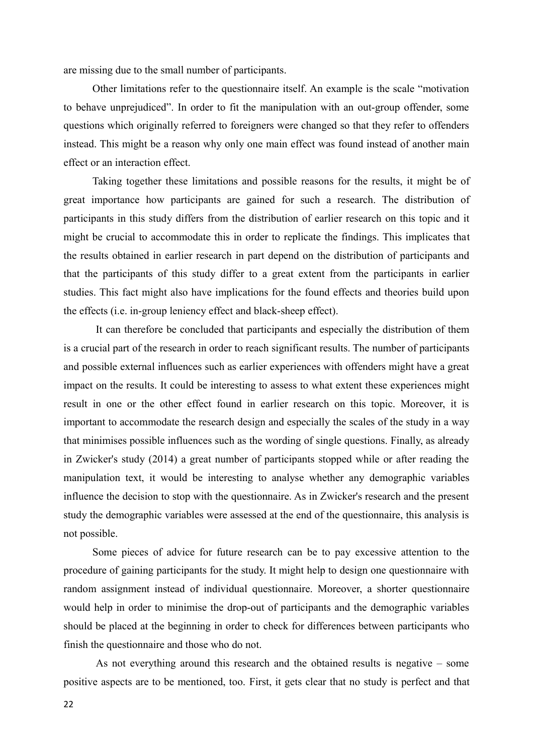are missing due to the small number of participants.

Other limitations refer to the questionnaire itself. An example is the scale "motivation to behave unprejudiced". In order to fit the manipulation with an out-group offender, some questions which originally referred to foreigners were changed so that they refer to offenders instead. This might be a reason why only one main effect was found instead of another main effect or an interaction effect.

Taking together these limitations and possible reasons for the results, it might be of great importance how participants are gained for such a research. The distribution of participants in this study differs from the distribution of earlier research on this topic and it might be crucial to accommodate this in order to replicate the findings. This implicates that the results obtained in earlier research in part depend on the distribution of participants and that the participants of this study differ to a great extent from the participants in earlier studies. This fact might also have implications for the found effects and theories build upon the effects (i.e. in-group leniency effect and black-sheep effect).

It can therefore be concluded that participants and especially the distribution of them is a crucial part of the research in order to reach significant results. The number of participants and possible external influences such as earlier experiences with offenders might have a great impact on the results. It could be interesting to assess to what extent these experiences might result in one or the other effect found in earlier research on this topic. Moreover, it is important to accommodate the research design and especially the scales of the study in a way that minimises possible influences such as the wording of single questions. Finally, as already in Zwicker's study (2014) a great number of participants stopped while or after reading the manipulation text, it would be interesting to analyse whether any demographic variables influence the decision to stop with the questionnaire. As in Zwicker's research and the present study the demographic variables were assessed at the end of the questionnaire, this analysis is not possible.

Some pieces of advice for future research can be to pay excessive attention to the procedure of gaining participants for the study. It might help to design one questionnaire with random assignment instead of individual questionnaire. Moreover, a shorter questionnaire would help in order to minimise the drop-out of participants and the demographic variables should be placed at the beginning in order to check for differences between participants who finish the questionnaire and those who do not.

As not everything around this research and the obtained results is negative – some positive aspects are to be mentioned, too. First, it gets clear that no study is perfect and that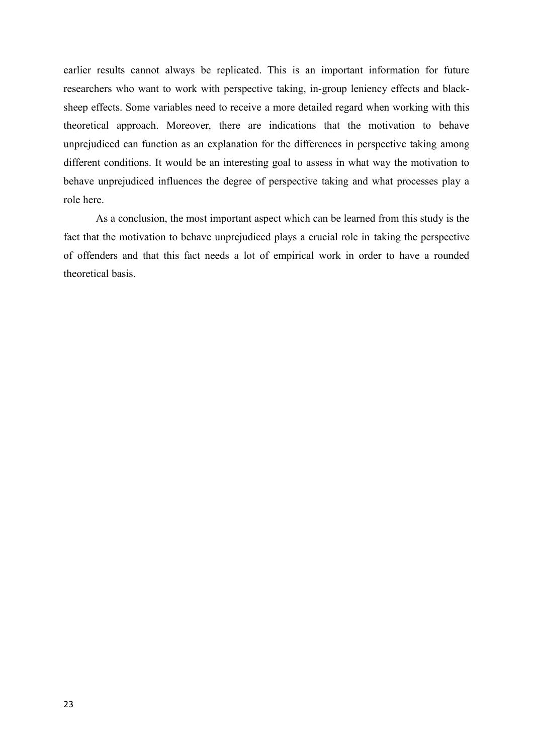earlier results cannot always be replicated. This is an important information for future researchers who want to work with perspective taking, in-group leniency effects and blacksheep effects. Some variables need to receive a more detailed regard when working with this theoretical approach. Moreover, there are indications that the motivation to behave unprejudiced can function as an explanation for the differences in perspective taking among different conditions. It would be an interesting goal to assess in what way the motivation to behave unprejudiced influences the degree of perspective taking and what processes play a role here.

As a conclusion, the most important aspect which can be learned from this study is the fact that the motivation to behave unprejudiced plays a crucial role in taking the perspective of offenders and that this fact needs a lot of empirical work in order to have a rounded theoretical basis.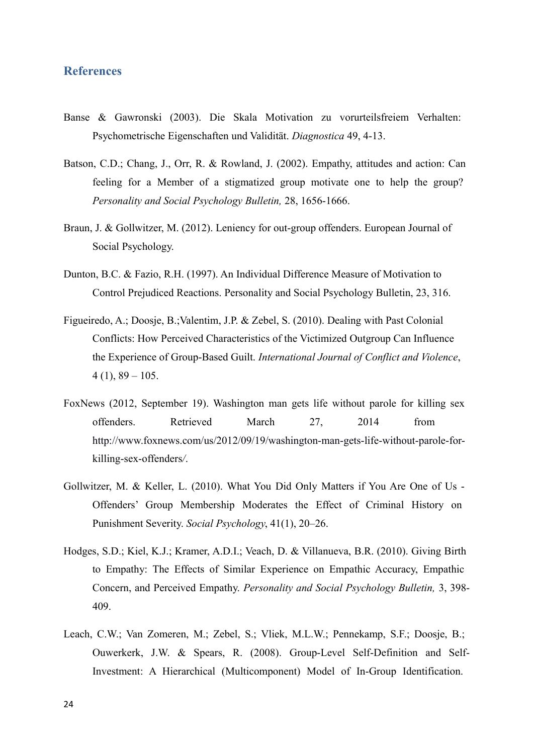### **References**

- Banse & Gawronski (2003). Die Skala Motivation zu vorurteilsfreiem Verhalten: Psychometrische Eigenschaften und Validität. *Diagnostica* 49, 4-13.
- Batson, C.D.; Chang, J., Orr, R. & Rowland, J. (2002). Empathy, attitudes and action: Can feeling for a Member of a stigmatized group motivate one to help the group? *Personality and Social Psychology Bulletin,* 28, 1656-1666.
- Braun, J. & Gollwitzer, M. (2012). Leniency for out-group offenders. European Journal of Social Psychology.
- Dunton, B.C. & Fazio, R.H. (1997). An Individual Difference Measure of Motivation to Control Prejudiced Reactions. Personality and Social Psychology Bulletin, 23, 316.
- Figueiredo, A.; Doosje, B.;Valentim, J.P. & Zebel, S. (2010). Dealing with Past Colonial Conflicts: How Perceived Characteristics of the Victimized Outgroup Can Influence the Experience of Group-Based Guilt. *International Journal of Conflict and Violence*,  $4(1), 89 - 105.$
- FoxNews (2012, September 19). Washington man gets life without parole for killing sex offenders. Retrieved March 27, 2014 from [http://www.foxnews.com/us/2012/09/19/washington-man-gets-life-without-parole-for](http://www.foxnews.com/us/2012/09/19/washington-man-gets-life-without-parole-for-)killing-sex-offenders*/*.
- Gollwitzer, M. & Keller, L. (2010). What You Did Only Matters if You Are One of Us Offenders' Group Membership Moderates the Effect of Criminal History on Punishment Severity. *Social Psychology*, 41(1), 20–26.
- Hodges, S.D.; Kiel, K.J.; Kramer, A.D.I.; Veach, D. & Villanueva, B.R. (2010). Giving Birth to Empathy: The Effects of Similar Experience on Empathic Accuracy, Empathic Concern, and Perceived Empathy. *Personality and Social Psychology Bulletin,* 3, 398- 409.
- Leach, C.W.; Van Zomeren, M.; Zebel, S.; Vliek, M.L.W.; Pennekamp, S.F.; Doosje, B.; Ouwerkerk, J.W. & Spears, R. (2008). Group-Level Self-Definition and Self-Investment: A Hierarchical (Multicomponent) Model of In-Group Identification.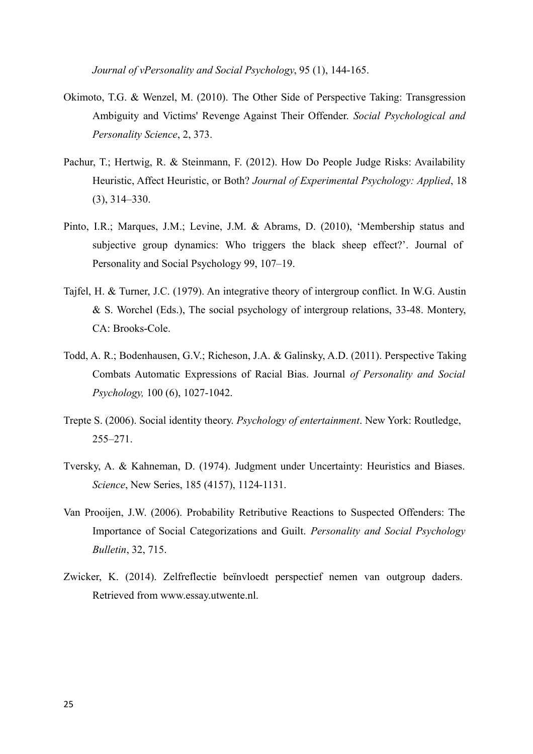*Journal of vPersonality and Social Psychology*, 95 (1), 144-165.

- Okimoto, T.G. & Wenzel, M. (2010). The Other Side of Perspective Taking: Transgression Ambiguity and Victims' Revenge Against Their Offender. *Social Psychological and Personality Science*, 2, 373.
- Pachur, T.; Hertwig, R. & Steinmann, F. (2012). How Do People Judge Risks: Availability Heuristic, Affect Heuristic, or Both? *Journal of Experimental Psychology: Applied*, 18 (3), 314–330.
- Pinto, I.R.; Marques, J.M.; Levine, J.M. & Abrams, D. (2010), 'Membership status and subjective group dynamics: Who triggers the black sheep effect?'. Journal of Personality and Social Psychology 99, 107–19.
- Tajfel, H. & Turner, J.C. (1979). An integrative theory of intergroup conflict. In W.G. Austin & S. Worchel (Eds.), The social psychology of intergroup relations, 33-48. Montery, CA: Brooks-Cole.
- Todd, A. R.; Bodenhausen, G.V.; Richeson, J.A. & Galinsky, A.D. (2011). Perspective Taking Combats Automatic Expressions of Racial Bias. Journal *of Personality and Social Psychology,* 100 (6), 1027-1042.
- Trepte S. (2006). Social identity theory. *Psychology of entertainment*. New York: Routledge, 255–271.
- Tversky, A. & Kahneman, D. (1974). Judgment under Uncertainty: Heuristics and Biases. *Science*, New Series, 185 (4157), 1124-1131.
- Van Prooijen, J.W. (2006). Probability Retributive Reactions to Suspected Offenders: The Importance of Social Categorizations and Guilt. *Personality and Social Psychology Bulletin*, 32, 715.
- Zwicker, K. (2014). Zelfreflectie beïnvloedt perspectief nemen van outgroup daders. Retrieved from www.essay.utwente.nl.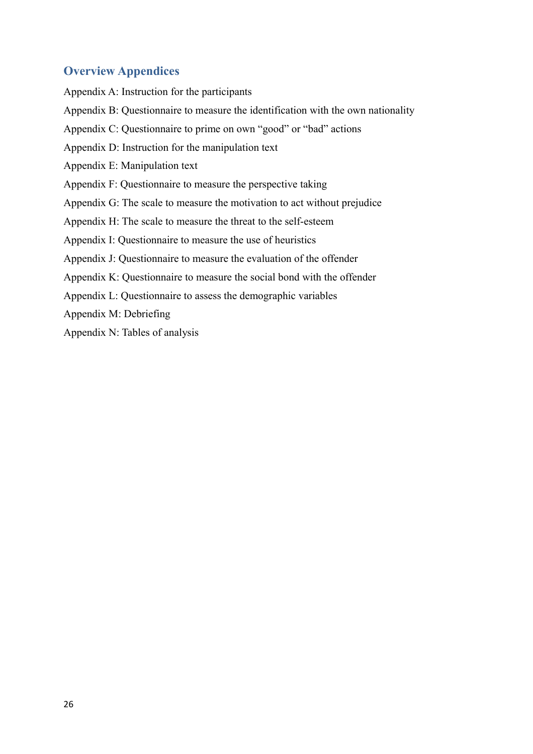### **Overview Appendices**

Appendix A: Instruction for the participants Appendix B: Questionnaire to measure the identification with the own nationality Appendix C: Questionnaire to prime on own "good" or "bad" actions Appendix D: Instruction for the manipulation text Appendix E: Manipulation text Appendix F: Questionnaire to measure the perspective taking Appendix G: The scale to measure the motivation to act without prejudice Appendix H: The scale to measure the threat to the self-esteem Appendix I: Questionnaire to measure the use of heuristics Appendix J: Questionnaire to measure the evaluation of the offender Appendix K: Questionnaire to measure the social bond with the offender Appendix L: Questionnaire to assess the demographic variables Appendix M: Debriefing Appendix N: Tables of analysis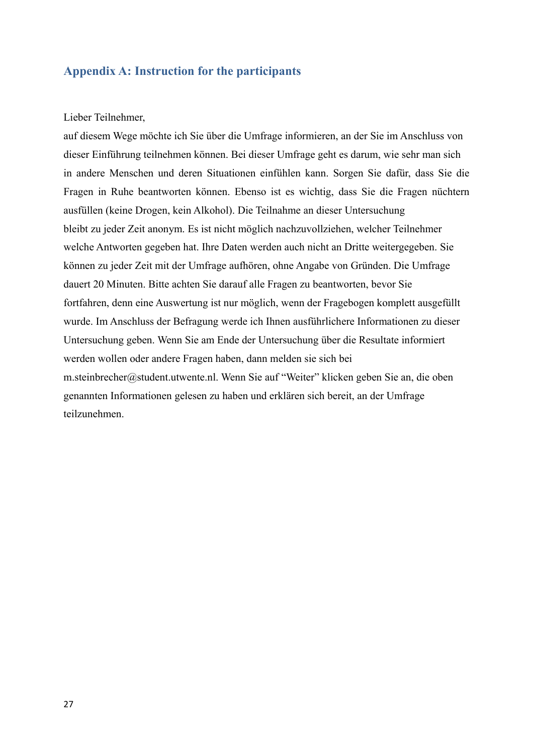### **Appendix A: Instruction for the participants**

### Lieber Teilnehmer,

auf diesem Wege möchte ich Sie über die Umfrage informieren, an der Sie im Anschluss von dieser Einführung teilnehmen können. Bei dieser Umfrage geht es darum, wie sehr man sich in andere Menschen und deren Situationen einfühlen kann. Sorgen Sie dafür, dass Sie die Fragen in Ruhe beantworten können. Ebenso ist es wichtig, dass Sie die Fragen nüchtern ausfüllen (keine Drogen, kein Alkohol). Die Teilnahme an dieser Untersuchung bleibt zu jeder Zeit anonym. Es ist nicht möglich nachzuvollziehen, welcher Teilnehmer welche Antworten gegeben hat. Ihre Daten werden auch nicht an Dritte weitergegeben. Sie können zu jeder Zeit mit der Umfrage aufhören, ohne Angabe von Gründen. Die Umfrage dauert 20 Minuten. Bitte achten Sie darauf alle Fragen zu beantworten, bevor Sie fortfahren, denn eine Auswertung ist nur möglich, wenn der Fragebogen komplett ausgefüllt wurde. Im Anschluss der Befragung werde ich Ihnen ausführlichere Informationen zu dieser Untersuchung geben. Wenn Sie am Ende der Untersuchung über die Resultate informiert werden wollen oder andere Fragen haben, dann melden sie sich bei m.steinbrecher@student.utwente.nl. Wenn Sie auf "Weiter" klicken geben Sie an, die oben genannten Informationen gelesen zu haben und erklären sich bereit, an der Umfrage teilzunehmen.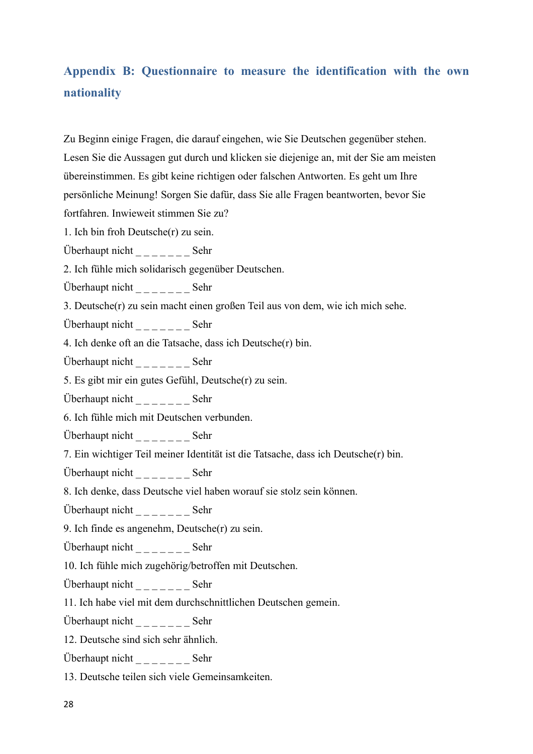# **Appendix B: Questionnaire to measure the identification with the own nationality**

Zu Beginn einige Fragen, die darauf eingehen, wie Sie Deutschen gegenüber stehen. Lesen Sie die Aussagen gut durch und klicken sie diejenige an, mit der Sie am meisten übereinstimmen. Es gibt keine richtigen oder falschen Antworten. Es geht um Ihre persönliche Meinung! Sorgen Sie dafür, dass Sie alle Fragen beantworten, bevor Sie fortfahren. Inwieweit stimmen Sie zu?

1. Ich bin froh Deutsche(r) zu sein.

Überhaupt nicht  $\frac{1}{2}$   $\frac{1}{2}$   $\frac{1}{2}$   $\frac{1}{2}$   $\frac{1}{2}$   $\frac{1}{2}$   $\frac{1}{2}$   $\frac{1}{2}$   $\frac{1}{2}$   $\frac{1}{2}$   $\frac{1}{2}$   $\frac{1}{2}$   $\frac{1}{2}$   $\frac{1}{2}$   $\frac{1}{2}$   $\frac{1}{2}$   $\frac{1}{2}$   $\frac{1}{2}$   $\frac{1}{2}$   $\frac{1}{2}$   $\frac{1$ 

2. Ich fühle mich solidarisch gegenüber Deutschen.

Überhaupt nicht \_ \_ \_ \_ \_ \_ \_ Sehr

3. Deutsche(r) zu sein macht einen großen Teil aus von dem, wie ich mich sehe.

Überhaupt nicht \_ \_ \_ \_ \_ \_ \_ Sehr

4. Ich denke oft an die Tatsache, dass ich Deutsche(r) bin.

Überhaupt nicht \_ \_ \_ \_ \_ \_ \_ Sehr

5. Es gibt mir ein gutes Gefühl, Deutsche(r) zu sein.

Überhaupt nicht \_ \_ \_ \_ \_ \_ \_ Sehr

6. Ich fühle mich mit Deutschen verbunden.

Überhaupt nicht \_ \_ \_ \_ \_ \_ \_ Sehr

7. Ein wichtiger Teil meiner Identität ist die Tatsache, dass ich Deutsche(r) bin.

Überhaupt nicht  $\frac{1}{2}$  \_\_\_\_\_\_\_\_\_\_ Sehr

8. Ich denke, dass Deutsche viel haben worauf sie stolz sein können.

Überhaupt nicht  $\frac{1}{2}$   $\frac{1}{2}$   $\frac{1}{2}$   $\frac{1}{2}$   $\frac{1}{2}$   $\frac{1}{2}$   $\frac{1}{2}$   $\frac{1}{2}$   $\frac{1}{2}$   $\frac{1}{2}$   $\frac{1}{2}$   $\frac{1}{2}$   $\frac{1}{2}$   $\frac{1}{2}$   $\frac{1}{2}$   $\frac{1}{2}$   $\frac{1}{2}$   $\frac{1}{2}$   $\frac{1}{2}$   $\frac{1}{2}$   $\frac{1$ 

9. Ich finde es angenehm, Deutsche(r) zu sein.

Überhaupt nicht  $\frac{1}{2}$   $\frac{1}{2}$   $\frac{1}{2}$   $\frac{1}{2}$   $\frac{1}{2}$   $\frac{1}{2}$   $\frac{1}{2}$   $\frac{1}{2}$   $\frac{1}{2}$   $\frac{1}{2}$   $\frac{1}{2}$   $\frac{1}{2}$   $\frac{1}{2}$   $\frac{1}{2}$   $\frac{1}{2}$   $\frac{1}{2}$   $\frac{1}{2}$   $\frac{1}{2}$   $\frac{1}{2}$   $\frac{1}{2}$   $\frac{1$ 

10. Ich fühle mich zugehörig/betroffen mit Deutschen.

Überhaupt nicht \_ \_ \_ \_ \_ \_ \_ Sehr

11. Ich habe viel mit dem durchschnittlichen Deutschen gemein.

Überhaupt nicht \_ \_ \_ \_ \_ \_ \_ Sehr

12. Deutsche sind sich sehr ähnlich.

Überhaupt nicht  $\frac{1}{2}$  \_\_\_\_\_\_\_\_\_ Sehr

13. Deutsche teilen sich viele Gemeinsamkeiten.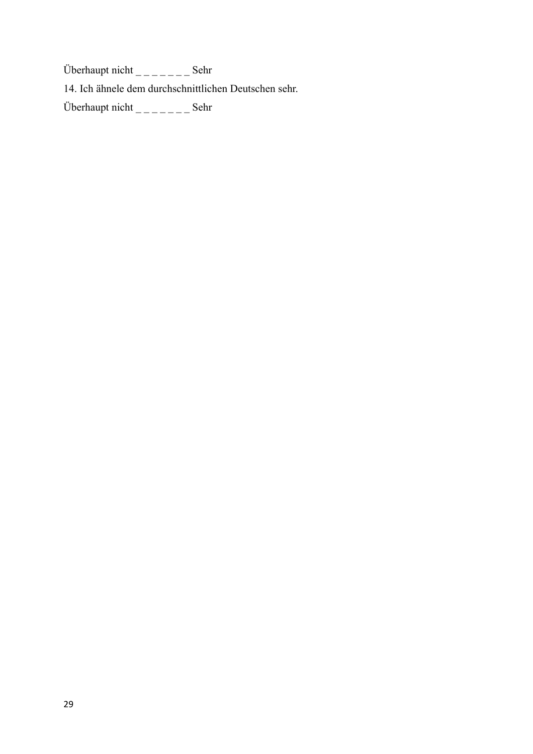Überhaupt nicht  $\frac{1}{2}$   $\frac{1}{2}$   $\frac{1}{2}$   $\frac{1}{2}$   $\frac{1}{2}$   $\frac{1}{2}$   $\frac{1}{2}$   $\frac{1}{2}$   $\frac{1}{2}$   $\frac{1}{2}$   $\frac{1}{2}$   $\frac{1}{2}$   $\frac{1}{2}$   $\frac{1}{2}$   $\frac{1}{2}$   $\frac{1}{2}$   $\frac{1}{2}$   $\frac{1}{2}$   $\frac{1}{2}$   $\frac{1}{2}$   $\frac{1$ 14. Ich ähnele dem durchschnittlichen Deutschen sehr. Überhaupt nicht  $\frac{1}{2}$   $\frac{1}{2}$   $\frac{1}{2}$   $\frac{1}{2}$   $\frac{1}{2}$   $\frac{1}{2}$   $\frac{1}{2}$   $\frac{1}{2}$   $\frac{1}{2}$   $\frac{1}{2}$   $\frac{1}{2}$   $\frac{1}{2}$   $\frac{1}{2}$   $\frac{1}{2}$   $\frac{1}{2}$   $\frac{1}{2}$   $\frac{1}{2}$   $\frac{1}{2}$   $\frac{1}{2}$   $\frac{1}{2}$   $\frac{1$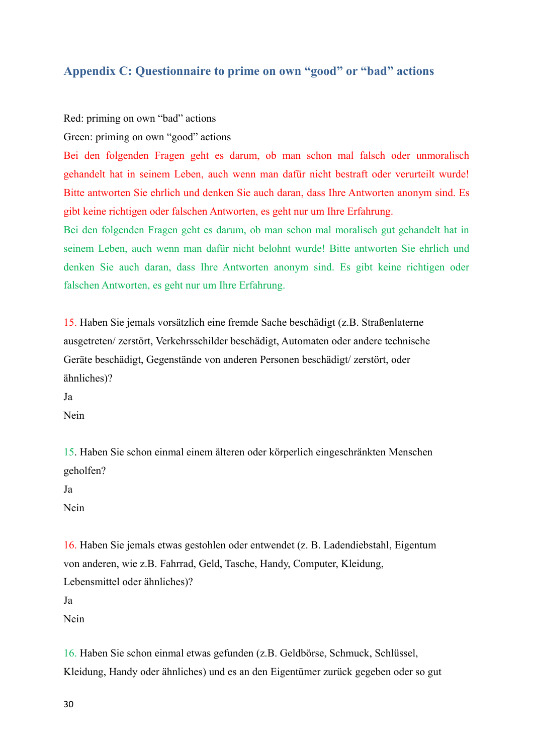### **Appendix C: Questionnaire to prime on own "good" or "bad" actions**

Red: priming on own "bad" actions

Green: priming on own "good" actions

Bei den folgenden Fragen geht es darum, ob man schon mal falsch oder unmoralisch gehandelt hat in seinem Leben, auch wenn man dafür nicht bestraft oder verurteilt wurde! Bitte antworten Sie ehrlich und denken Sie auch daran, dass Ihre Antworten anonym sind. Es gibt keine richtigen oder falschen Antworten, es geht nur um Ihre Erfahrung.

Bei den folgenden Fragen geht es darum, ob man schon mal moralisch gut gehandelt hat in seinem Leben, auch wenn man dafür nicht belohnt wurde! Bitte antworten Sie ehrlich und denken Sie auch daran, dass Ihre Antworten anonym sind. Es gibt keine richtigen oder falschen Antworten, es geht nur um Ihre Erfahrung.

15. Haben Sie jemals vorsätzlich eine fremde Sache beschädigt (z.B. Straßenlaterne ausgetreten/ zerstört, Verkehrsschilder beschädigt, Automaten oder andere technische Geräte beschädigt, Gegenstände von anderen Personen beschädigt/ zerstört, oder ähnliches)?

Ja

Nein

15. Haben Sie schon einmal einem älteren oder körperlich eingeschränkten Menschen geholfen?

Ja

Nein

16. Haben Sie jemals etwas gestohlen oder entwendet (z. B. Ladendiebstahl, Eigentum von anderen, wie z.B. Fahrrad, Geld, Tasche, Handy, Computer, Kleidung, Lebensmittel oder ähnliches)? Ja Nein

16. Haben Sie schon einmal etwas gefunden (z.B. Geldbörse, Schmuck, Schlüssel, Kleidung, Handy oder ähnliches) und es an den Eigentümer zurück gegeben oder so gut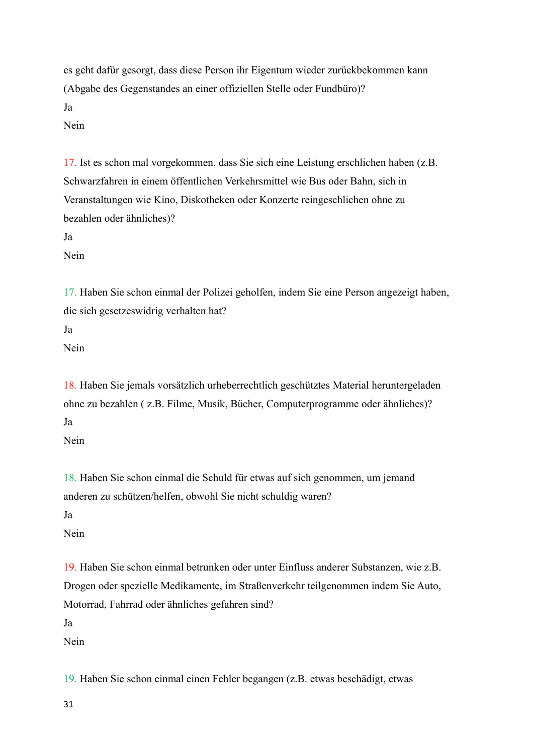es geht dafür gesorgt, dass diese Person ihr Eigentum wieder zurückbekommen kann (Abgabe des Gegenstandes an einer offiziellen Stelle oder Fundbüro)? Ja Nein

17. Ist es schon mal vorgekommen, dass Sie sich eine Leistung erschlichen haben (z.B. Schwarzfahren in einem öffentlichen Verkehrsmittel wie Bus oder Bahn, sich in Veranstaltungen wie Kino, Diskotheken oder Konzerte reingeschlichen ohne zu bezahlen oder ähnliches)?

Ja

Nein

17. Haben Sie schon einmal der Polizei geholfen, indem Sie eine Person angezeigt haben, die sich gesetzeswidrig verhalten hat?

Ja

Nein

18. Haben Sie jemals vorsätzlich urheberrechtlich geschütztes Material heruntergeladen ohne zu bezahlen ( z.B. Filme, Musik, Bücher, Computerprogramme oder ähnliches)? Ja

Nein

18. Haben Sie schon einmal die Schuld für etwas auf sich genommen, um jemand anderen zu schützen/helfen, obwohl Sie nicht schuldig waren?

Ja

Nein

19. Haben Sie schon einmal betrunken oder unter Einfluss anderer Substanzen, wie z.B. Drogen oder spezielle Medikamente, im Straßenverkehr teilgenommen indem Sie Auto, Motorrad, Fahrrad oder ähnliches gefahren sind?

Ja

Nein

19. Haben Sie schon einmal einen Fehler begangen (z.B. etwas beschädigt, etwas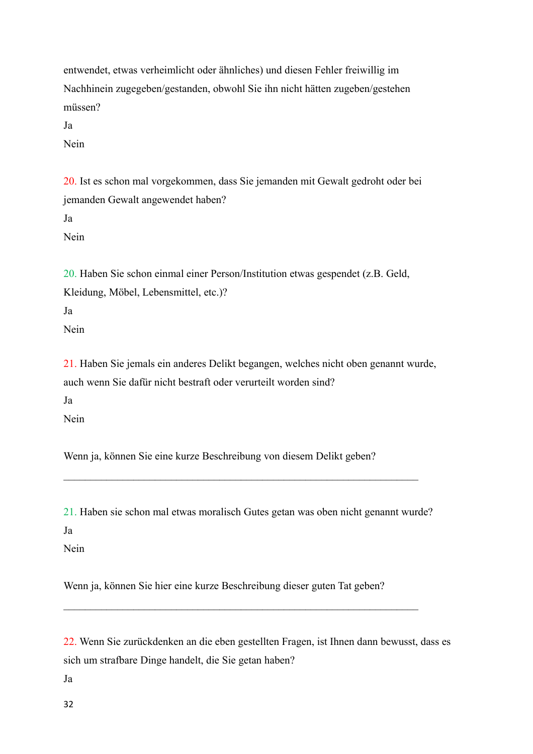entwendet, etwas verheimlicht oder ähnliches) und diesen Fehler freiwillig im Nachhinein zugegeben/gestanden, obwohl Sie ihn nicht hätten zugeben/gestehen müssen?

Ja

Nein

20. Ist es schon mal vorgekommen, dass Sie jemanden mit Gewalt gedroht oder bei jemanden Gewalt angewendet haben? Ja Nein

20. Haben Sie schon einmal einer Person/Institution etwas gespendet (z.B. Geld, Kleidung, Möbel, Lebensmittel, etc.)?

Ja

Nein

21. Haben Sie jemals ein anderes Delikt begangen, welches nicht oben genannt wurde, auch wenn Sie dafür nicht bestraft oder verurteilt worden sind?

Ja

Nein

Wenn ja, können Sie eine kurze Beschreibung von diesem Delikt geben?

21. Haben sie schon mal etwas moralisch Gutes getan was oben nicht genannt wurde?

 $\mathcal{L}_\text{max} = \mathcal{L}_\text{max} = \mathcal{L}_\text{max} = \mathcal{L}_\text{max} = \mathcal{L}_\text{max} = \mathcal{L}_\text{max} = \mathcal{L}_\text{max} = \mathcal{L}_\text{max} = \mathcal{L}_\text{max} = \mathcal{L}_\text{max} = \mathcal{L}_\text{max} = \mathcal{L}_\text{max} = \mathcal{L}_\text{max} = \mathcal{L}_\text{max} = \mathcal{L}_\text{max} = \mathcal{L}_\text{max} = \mathcal{L}_\text{max} = \mathcal{L}_\text{max} = \mathcal{$ 

Ja

Nein

Wenn ja, können Sie hier eine kurze Beschreibung dieser guten Tat geben?

 $\mathcal{L}_\mathcal{L} = \{ \mathcal{L}_\mathcal{L} = \{ \mathcal{L}_\mathcal{L} = \{ \mathcal{L}_\mathcal{L} = \{ \mathcal{L}_\mathcal{L} = \{ \mathcal{L}_\mathcal{L} = \{ \mathcal{L}_\mathcal{L} = \{ \mathcal{L}_\mathcal{L} = \{ \mathcal{L}_\mathcal{L} = \{ \mathcal{L}_\mathcal{L} = \{ \mathcal{L}_\mathcal{L} = \{ \mathcal{L}_\mathcal{L} = \{ \mathcal{L}_\mathcal{L} = \{ \mathcal{L}_\mathcal{L} = \{ \mathcal{L}_\mathcal{$ 

22. Wenn Sie zurückdenken an die eben gestellten Fragen, ist Ihnen dann bewusst, dass es sich um strafbare Dinge handelt, die Sie getan haben?

Ja

32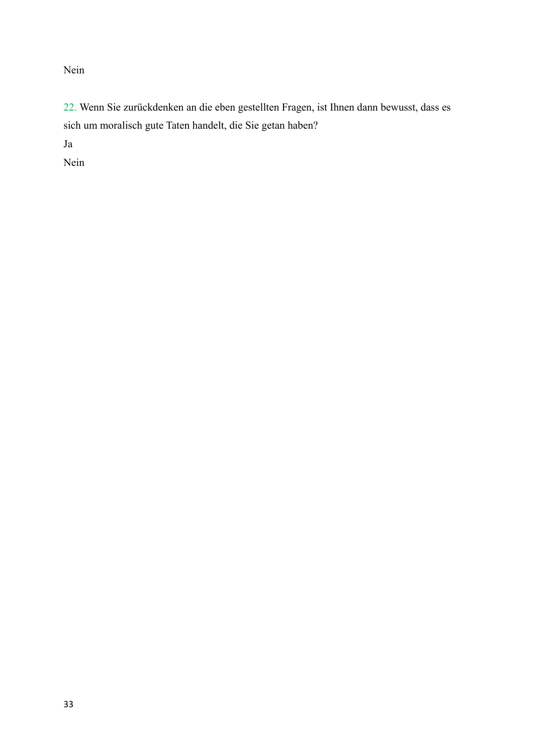Nein

22. Wenn Sie zurückdenken an die eben gestellten Fragen, ist Ihnen dann bewusst, dass es sich um moralisch gute Taten handelt, die Sie getan haben?

Ja

Nein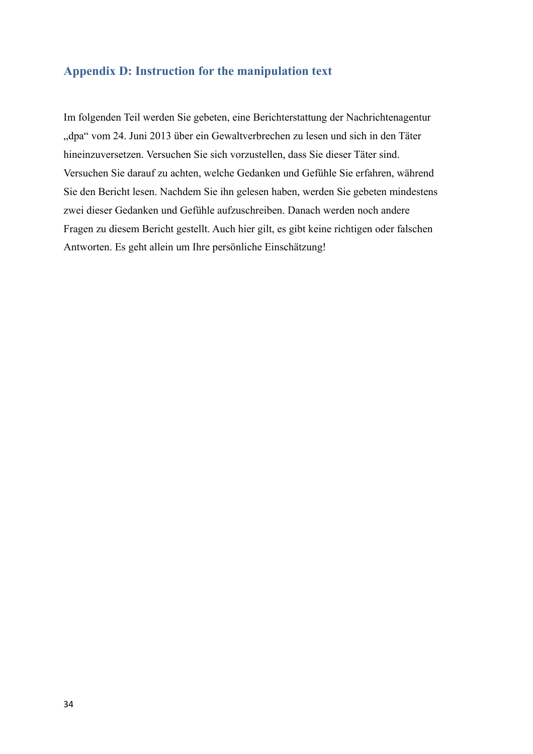### **Appendix D: Instruction for the manipulation text**

Im folgenden Teil werden Sie gebeten, eine Berichterstattung der Nachrichtenagentur "dpa" vom 24. Juni 2013 über ein Gewaltverbrechen zu lesen und sich in den Täter hineinzuversetzen. Versuchen Sie sich vorzustellen, dass Sie dieser Täter sind. Versuchen Sie darauf zu achten, welche Gedanken und Gefühle Sie erfahren, während Sie den Bericht lesen. Nachdem Sie ihn gelesen haben, werden Sie gebeten mindestens zwei dieser Gedanken und Gefühle aufzuschreiben. Danach werden noch andere Fragen zu diesem Bericht gestellt. Auch hier gilt, es gibt keine richtigen oder falschen Antworten. Es geht allein um Ihre persönliche Einschätzung!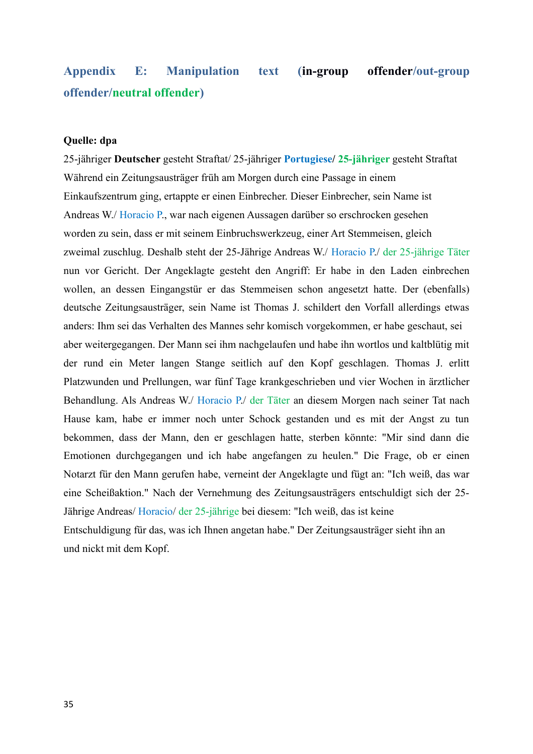# **Appendix E: Manipulation text (in-group offender/out-group offender/neutral offender)**

### **Quelle: dpa**

25-jähriger **Deutscher** gesteht Straftat/ 25-jähriger **Portugiese/ 25-jähriger** gesteht Straftat Während ein Zeitungsausträger früh am Morgen durch eine Passage in einem Einkaufszentrum ging, ertappte er einen Einbrecher. Dieser Einbrecher, sein Name ist Andreas W./ Horacio P., war nach eigenen Aussagen darüber so erschrocken gesehen worden zu sein, dass er mit seinem Einbruchswerkzeug, einer Art Stemmeisen, gleich zweimal zuschlug. Deshalb steht der 25-Jährige Andreas W./ Horacio P./ der 25-jährige Täter nun vor Gericht. Der Angeklagte gesteht den Angriff: Er habe in den Laden einbrechen wollen, an dessen Eingangstür er das Stemmeisen schon angesetzt hatte. Der (ebenfalls) deutsche Zeitungsausträger, sein Name ist Thomas J. schildert den Vorfall allerdings etwas anders: Ihm sei das Verhalten des Mannes sehr komisch vorgekommen, er habe geschaut, sei aber weitergegangen. Der Mann sei ihm nachgelaufen und habe ihn wortlos und kaltblütig mit der rund ein Meter langen Stange seitlich auf den Kopf geschlagen. Thomas J. erlitt Platzwunden und Prellungen, war fünf Tage krankgeschrieben und vier Wochen in ärztlicher Behandlung. Als Andreas W./ Horacio P./ der Täter an diesem Morgen nach seiner Tat nach Hause kam, habe er immer noch unter Schock gestanden und es mit der Angst zu tun bekommen, dass der Mann, den er geschlagen hatte, sterben könnte: "Mir sind dann die Emotionen durchgegangen und ich habe angefangen zu heulen." Die Frage, ob er einen Notarzt für den Mann gerufen habe, verneint der Angeklagte und fügt an: "Ich weiß, das war eine Scheißaktion." Nach der Vernehmung des Zeitungsausträgers entschuldigt sich der 25- Jährige Andreas/ Horacio/ der 25-jährige bei diesem: "Ich weiß, das ist keine Entschuldigung für das, was ich Ihnen angetan habe." Der Zeitungsausträger sieht ihn an und nickt mit dem Kopf.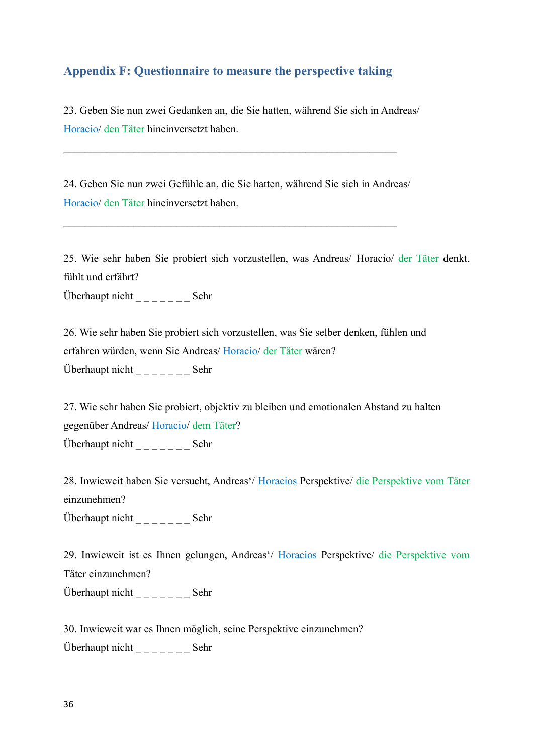### **Appendix F: Questionnaire to measure the perspective taking**

23. Geben Sie nun zwei Gedanken an, die Sie hatten, während Sie sich in Andreas/ Horacio/ den Täter hineinversetzt haben.

24. Geben Sie nun zwei Gefühle an, die Sie hatten, während Sie sich in Andreas/ Horacio/ den Täter hineinversetzt haben.

 $\mathcal{L}_\text{max}$  , and the contribution of the contribution of the contribution of the contribution of the contribution of the contribution of the contribution of the contribution of the contribution of the contribution of t

 $\mathcal{L}_\text{max}$  , and the contribution of the contribution of the contribution of the contribution of the contribution of the contribution of the contribution of the contribution of the contribution of the contribution of t

25. Wie sehr haben Sie probiert sich vorzustellen, was Andreas/ Horacio/ der Täter denkt, fühlt und erfährt? Überhaupt nicht \_ \_ \_ \_ \_ \_ \_ Sehr

26. Wie sehr haben Sie probiert sich vorzustellen, was Sie selber denken, fühlen und erfahren würden, wenn Sie Andreas/ Horacio/ der Täter wären? Überhaupt nicht \_ \_ \_ \_ \_ \_ \_ Sehr

27. Wie sehr haben Sie probiert, objektiv zu bleiben und emotionalen Abstand zu halten gegenüber Andreas/ Horacio/ dem Täter? Überhaupt nicht  $\frac{1}{2}$   $\frac{1}{2}$   $\frac{1}{2}$   $\frac{1}{2}$   $\frac{1}{2}$   $\frac{1}{2}$   $\frac{1}{2}$   $\frac{1}{2}$   $\frac{1}{2}$   $\frac{1}{2}$   $\frac{1}{2}$   $\frac{1}{2}$   $\frac{1}{2}$   $\frac{1}{2}$   $\frac{1}{2}$   $\frac{1}{2}$   $\frac{1}{2}$   $\frac{1}{2}$   $\frac{1}{2}$   $\frac{1}{2}$   $\frac{1$ 

28. Inwieweit haben Sie versucht, Andreas'/ Horacios Perspektive/ die Perspektive vom Täter einzunehmen?

Überhaupt nicht \_ \_ \_ \_ \_ \_ \_ Sehr

29. Inwieweit ist es Ihnen gelungen, Andreas'/ Horacios Perspektive/ die Perspektive vom Täter einzunehmen?

Überhaupt nicht \_ \_ \_ \_ \_ \_ \_ Sehr

30. Inwieweit war es Ihnen möglich, seine Perspektive einzunehmen?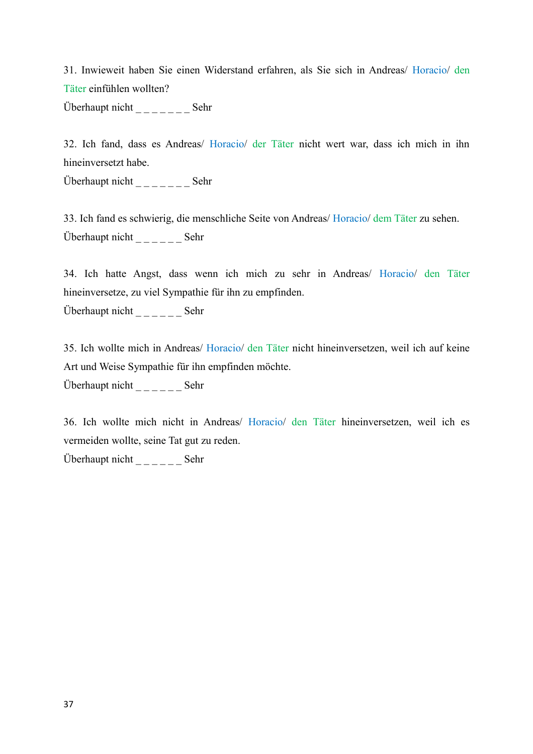31. Inwieweit haben Sie einen Widerstand erfahren, als Sie sich in Andreas/ Horacio/ den Täter einfühlen wollten?

Überhaupt nicht  $\frac{1}{2}$   $\frac{1}{2}$   $\frac{1}{2}$   $\frac{1}{2}$   $\frac{1}{2}$   $\frac{1}{2}$   $\frac{1}{2}$   $\frac{1}{2}$   $\frac{1}{2}$   $\frac{1}{2}$   $\frac{1}{2}$   $\frac{1}{2}$   $\frac{1}{2}$   $\frac{1}{2}$   $\frac{1}{2}$   $\frac{1}{2}$   $\frac{1}{2}$   $\frac{1}{2}$   $\frac{1}{2}$   $\frac{1}{2}$   $\frac{1$ 

32. Ich fand, dass es Andreas/ Horacio/ der Täter nicht wert war, dass ich mich in ihn hineinversetzt habe.

Überhaupt nicht  $\frac{1}{2}$  \_\_\_\_\_\_\_\_\_\_ Sehr

33. Ich fand es schwierig, die menschliche Seite von Andreas/ Horacio/ dem Täter zu sehen. Überhaupt nicht  $\frac{1}{2}$  \_\_\_\_\_\_\_\_\_ Sehr

34. Ich hatte Angst, dass wenn ich mich zu sehr in Andreas/ Horacio/ den Täter hineinversetze, zu viel Sympathie für ihn zu empfinden. Überhaupt nicht  $\frac{1}{2}$  \_\_\_\_\_\_\_\_ Sehr

35. Ich wollte mich in Andreas/ Horacio/ den Täter nicht hineinversetzen, weil ich auf keine Art und Weise Sympathie für ihn empfinden möchte.

Überhaupt nicht  $\frac{1}{2}$  \_\_\_\_\_\_\_\_\_ Sehr

36. Ich wollte mich nicht in Andreas/ Horacio/ den Täter hineinversetzen, weil ich es vermeiden wollte, seine Tat gut zu reden.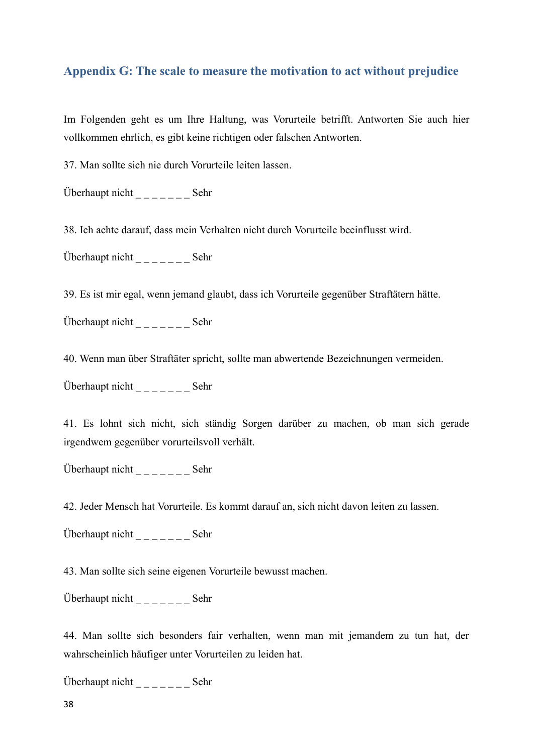## **Appendix G: The scale to measure the motivation to act without prejudice**

Im Folgenden geht es um Ihre Haltung, was Vorurteile betrifft. Antworten Sie auch hier vollkommen ehrlich, es gibt keine richtigen oder falschen Antworten.

37. Man sollte sich nie durch Vorurteile leiten lassen.

Überhaupt nicht  $\frac{1}{2}$   $\frac{1}{2}$   $\frac{1}{2}$   $\frac{1}{2}$   $\frac{1}{2}$   $\frac{1}{2}$   $\frac{1}{2}$   $\frac{1}{2}$   $\frac{1}{2}$   $\frac{1}{2}$   $\frac{1}{2}$   $\frac{1}{2}$   $\frac{1}{2}$   $\frac{1}{2}$   $\frac{1}{2}$   $\frac{1}{2}$   $\frac{1}{2}$   $\frac{1}{2}$   $\frac{1}{2}$   $\frac{1}{2}$   $\frac{1$ 

38. Ich achte darauf, dass mein Verhalten nicht durch Vorurteile beeinflusst wird.

Überhaupt nicht \_ \_ \_ \_ \_ \_ \_ Sehr

39. Es ist mir egal, wenn jemand glaubt, dass ich Vorurteile gegenüber Straftätern hätte.

Überhaupt nicht  $\frac{1}{2}$   $\frac{1}{2}$   $\frac{1}{2}$   $\frac{1}{2}$   $\frac{1}{2}$   $\frac{1}{2}$   $\frac{1}{2}$   $\frac{1}{2}$   $\frac{1}{2}$   $\frac{1}{2}$   $\frac{1}{2}$   $\frac{1}{2}$   $\frac{1}{2}$   $\frac{1}{2}$   $\frac{1}{2}$   $\frac{1}{2}$   $\frac{1}{2}$   $\frac{1}{2}$   $\frac{1}{2}$   $\frac{1}{2}$   $\frac{1$ 

40. Wenn man über Straftäter spricht, sollte man abwertende Bezeichnungen vermeiden.

Überhaupt nicht \_ \_ \_ \_ \_ \_ \_ Sehr

41. Es lohnt sich nicht, sich ständig Sorgen darüber zu machen, ob man sich gerade irgendwem gegenüber vorurteilsvoll verhält.

Überhaupt nicht  $\frac{1}{2}$   $\frac{1}{2}$   $\frac{1}{2}$   $\frac{1}{2}$   $\frac{1}{2}$   $\frac{1}{2}$   $\frac{1}{2}$   $\frac{1}{2}$   $\frac{1}{2}$   $\frac{1}{2}$   $\frac{1}{2}$   $\frac{1}{2}$   $\frac{1}{2}$   $\frac{1}{2}$   $\frac{1}{2}$   $\frac{1}{2}$   $\frac{1}{2}$   $\frac{1}{2}$   $\frac{1}{2}$   $\frac{1}{2}$   $\frac{1$ 

42. Jeder Mensch hat Vorurteile. Es kommt darauf an, sich nicht davon leiten zu lassen.

Überhaupt nicht \_ \_ \_ \_ \_ \_ \_ Sehr

43. Man sollte sich seine eigenen Vorurteile bewusst machen.

Überhaupt nicht  $\frac{1}{2}$  \_\_\_\_\_\_\_ Sehr

44. Man sollte sich besonders fair verhalten, wenn man mit jemandem zu tun hat, der wahrscheinlich häufiger unter Vorurteilen zu leiden hat.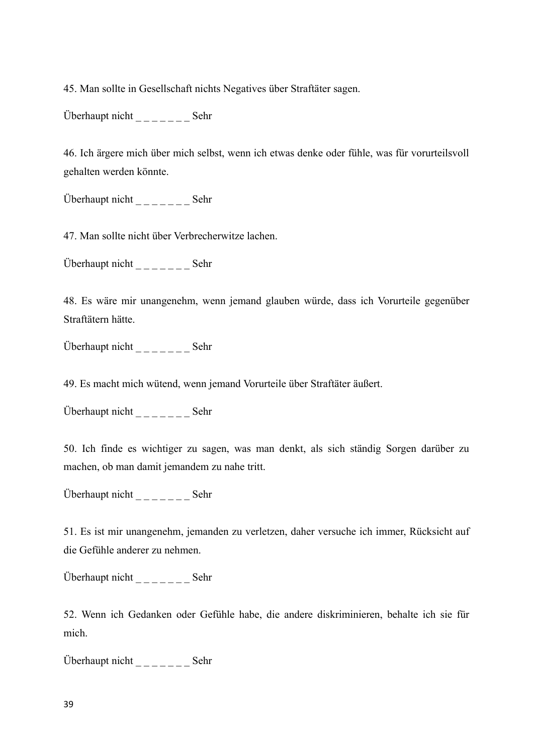45. Man sollte in Gesellschaft nichts Negatives über Straftäter sagen.

Überhaupt nicht \_ \_ \_ \_ \_ \_ \_ Sehr

46. Ich ärgere mich über mich selbst, wenn ich etwas denke oder fühle, was für vorurteilsvoll gehalten werden könnte.

Überhaupt nicht \_ \_ \_ \_ \_ \_ \_ Sehr

47. Man sollte nicht über Verbrecherwitze lachen.

Überhaupt nicht  $\frac{1}{2}$   $\frac{1}{2}$   $\frac{1}{2}$   $\frac{1}{2}$   $\frac{1}{2}$   $\frac{1}{2}$   $\frac{1}{2}$   $\frac{1}{2}$   $\frac{1}{2}$   $\frac{1}{2}$   $\frac{1}{2}$   $\frac{1}{2}$   $\frac{1}{2}$   $\frac{1}{2}$   $\frac{1}{2}$   $\frac{1}{2}$   $\frac{1}{2}$   $\frac{1}{2}$   $\frac{1}{2}$   $\frac{1}{2}$   $\frac{1$ 

48. Es wäre mir unangenehm, wenn jemand glauben würde, dass ich Vorurteile gegenüber Straftätern hätte.

Überhaupt nicht \_ \_ \_ \_ \_ \_ \_ Sehr

49. Es macht mich wütend, wenn jemand Vorurteile über Straftäter äußert.

Überhaupt nicht  $\frac{1}{2}$   $\frac{1}{2}$   $\frac{1}{2}$   $\frac{1}{2}$   $\frac{1}{2}$   $\frac{1}{2}$   $\frac{1}{2}$   $\frac{1}{2}$   $\frac{1}{2}$   $\frac{1}{2}$   $\frac{1}{2}$   $\frac{1}{2}$   $\frac{1}{2}$   $\frac{1}{2}$   $\frac{1}{2}$   $\frac{1}{2}$   $\frac{1}{2}$   $\frac{1}{2}$   $\frac{1}{2}$   $\frac{1}{2}$   $\frac{1$ 

50. Ich finde es wichtiger zu sagen, was man denkt, als sich ständig Sorgen darüber zu machen, ob man damit jemandem zu nahe tritt.

Überhaupt nicht \_ \_ \_ \_ \_ \_ \_ Sehr

51. Es ist mir unangenehm, jemanden zu verletzen, daher versuche ich immer, Rücksicht auf die Gefühle anderer zu nehmen.

Überhaupt nicht  $\frac{1}{2}$   $\frac{1}{2}$   $\frac{1}{2}$   $\frac{1}{2}$   $\frac{1}{2}$   $\frac{1}{2}$   $\frac{1}{2}$   $\frac{1}{2}$   $\frac{1}{2}$   $\frac{1}{2}$   $\frac{1}{2}$   $\frac{1}{2}$   $\frac{1}{2}$   $\frac{1}{2}$   $\frac{1}{2}$   $\frac{1}{2}$   $\frac{1}{2}$   $\frac{1}{2}$   $\frac{1}{2}$   $\frac{1}{2}$   $\frac{1$ 

52. Wenn ich Gedanken oder Gefühle habe, die andere diskriminieren, behalte ich sie für mich.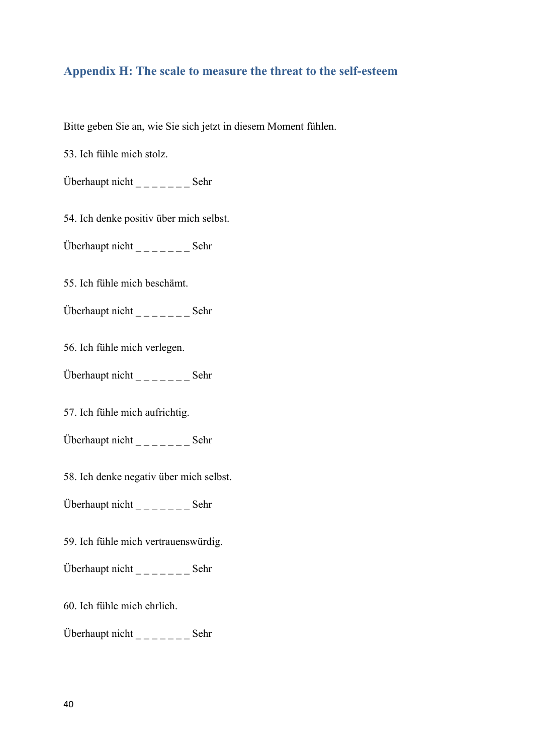## **Appendix H: The scale to measure the threat to the self-esteem**

Bitte geben Sie an, wie Sie sich jetzt in diesem Moment fühlen.

53. Ich fühle mich stolz.

Überhaupt nicht  $\frac{1}{2}$  \_\_\_\_\_\_\_\_\_\_\_\_\_ Sehr

54. Ich denke positiv über mich selbst.

Überhaupt nicht  $\frac{1}{2}$   $\frac{1}{2}$   $\frac{1}{2}$   $\frac{1}{2}$   $\frac{1}{2}$   $\frac{1}{2}$   $\frac{1}{2}$   $\frac{1}{2}$   $\frac{1}{2}$   $\frac{1}{2}$   $\frac{1}{2}$   $\frac{1}{2}$   $\frac{1}{2}$   $\frac{1}{2}$   $\frac{1}{2}$   $\frac{1}{2}$   $\frac{1}{2}$   $\frac{1}{2}$   $\frac{1}{2}$   $\frac{1}{2}$   $\frac{1$ 

55. Ich fühle mich beschämt.

Überhaupt nicht  $\frac{1}{2}$   $\frac{1}{2}$   $\frac{1}{2}$   $\frac{1}{2}$   $\frac{1}{2}$   $\frac{1}{2}$   $\frac{1}{2}$   $\frac{1}{2}$   $\frac{1}{2}$   $\frac{1}{2}$   $\frac{1}{2}$   $\frac{1}{2}$   $\frac{1}{2}$   $\frac{1}{2}$   $\frac{1}{2}$   $\frac{1}{2}$   $\frac{1}{2}$   $\frac{1}{2}$   $\frac{1}{2}$   $\frac{1}{2}$   $\frac{1$ 

56. Ich fühle mich verlegen.

Überhaupt nicht  $\frac{1}{2}$   $\frac{1}{2}$   $\frac{1}{2}$   $\frac{1}{2}$   $\frac{1}{2}$   $\frac{1}{2}$   $\frac{1}{2}$   $\frac{1}{2}$   $\frac{1}{2}$   $\frac{1}{2}$   $\frac{1}{2}$   $\frac{1}{2}$   $\frac{1}{2}$   $\frac{1}{2}$   $\frac{1}{2}$   $\frac{1}{2}$   $\frac{1}{2}$   $\frac{1}{2}$   $\frac{1}{2}$   $\frac{1}{2}$   $\frac{1$ 

57. Ich fühle mich aufrichtig.

Überhaupt nicht  $\frac{1}{2}$   $\frac{1}{2}$   $\frac{1}{2}$   $\frac{1}{2}$   $\frac{1}{2}$   $\frac{1}{2}$   $\frac{1}{2}$   $\frac{1}{2}$   $\frac{1}{2}$   $\frac{1}{2}$   $\frac{1}{2}$   $\frac{1}{2}$   $\frac{1}{2}$   $\frac{1}{2}$   $\frac{1}{2}$   $\frac{1}{2}$   $\frac{1}{2}$   $\frac{1}{2}$   $\frac{1}{2}$   $\frac{1}{2}$   $\frac{1$ 

58. Ich denke negativ über mich selbst.

Überhaupt nicht  $\frac{1}{2}$   $\frac{1}{2}$   $\frac{1}{2}$   $\frac{1}{2}$   $\frac{1}{2}$   $\frac{1}{2}$   $\frac{1}{2}$   $\frac{1}{2}$   $\frac{1}{2}$   $\frac{1}{2}$   $\frac{1}{2}$   $\frac{1}{2}$   $\frac{1}{2}$   $\frac{1}{2}$   $\frac{1}{2}$   $\frac{1}{2}$   $\frac{1}{2}$   $\frac{1}{2}$   $\frac{1}{2}$   $\frac{1}{2}$   $\frac{1$ 

59. Ich fühle mich vertrauenswürdig.

Überhaupt nicht  $\frac{1}{2}$   $\frac{1}{2}$   $\frac{1}{2}$   $\frac{1}{2}$   $\frac{1}{2}$   $\frac{1}{2}$   $\frac{1}{2}$   $\frac{1}{2}$   $\frac{1}{2}$   $\frac{1}{2}$   $\frac{1}{2}$   $\frac{1}{2}$   $\frac{1}{2}$   $\frac{1}{2}$   $\frac{1}{2}$   $\frac{1}{2}$   $\frac{1}{2}$   $\frac{1}{2}$   $\frac{1}{2}$   $\frac{1}{2}$   $\frac{1$ 

60. Ich fühle mich ehrlich.

Überhaupt nicht \_ \_ \_ \_ \_ \_ \_ Sehr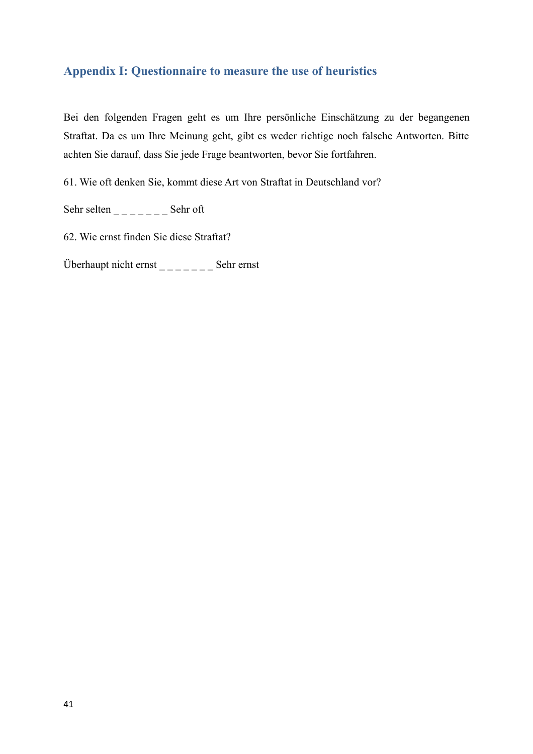# **Appendix I: Questionnaire to measure the use of heuristics**

Bei den folgenden Fragen geht es um Ihre persönliche Einschätzung zu der begangenen Straftat. Da es um Ihre Meinung geht, gibt es weder richtige noch falsche Antworten. Bitte achten Sie darauf, dass Sie jede Frage beantworten, bevor Sie fortfahren.

61. Wie oft denken Sie, kommt diese Art von Straftat in Deutschland vor?

Sehr selten  $\frac{1}{2}$   $\frac{1}{2}$   $\frac{1}{2}$   $\frac{1}{2}$   $\frac{1}{2}$   $\frac{1}{2}$   $\frac{1}{2}$   $\frac{1}{2}$   $\frac{1}{2}$   $\frac{1}{2}$   $\frac{1}{2}$   $\frac{1}{2}$   $\frac{1}{2}$   $\frac{1}{2}$   $\frac{1}{2}$   $\frac{1}{2}$   $\frac{1}{2}$   $\frac{1}{2}$   $\frac{1}{2}$   $\frac{1}{2}$   $\frac{1}{2}$ 

62. Wie ernst finden Sie diese Straftat?

Überhaupt nicht ernst  $\frac{1}{2}$   $\frac{1}{2}$   $\frac{1}{2}$  Sehr ernst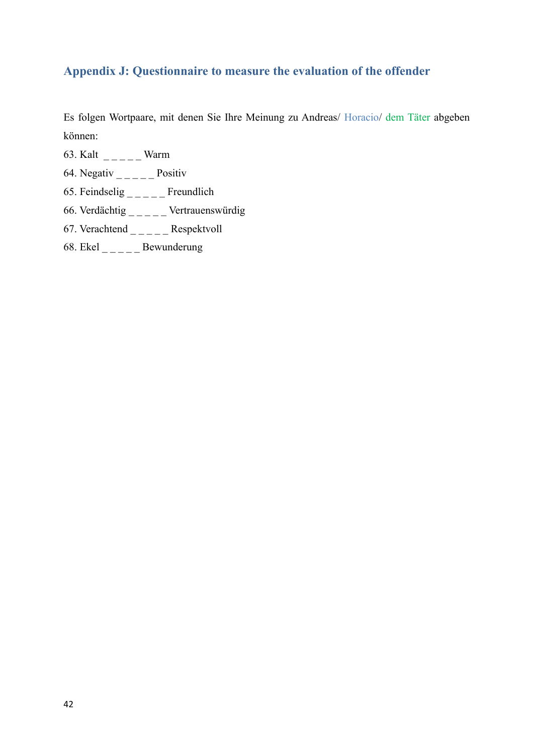# **Appendix J: Questionnaire to measure the evaluation of the offender**

Es folgen Wortpaare, mit denen Sie Ihre Meinung zu Andreas/ Horacio/ dem Täter abgeben können:

- 63. Kalt  $\frac{1}{2}$   $\frac{1}{2}$  Warm
- 64. Negativ  $\frac{1}{2}$  Positiv
- 65. Feindselig  $\frac{1}{2}$  Freundlich
- 66. Verdächtig  $\frac{1}{2}$   $\frac{1}{2}$  Vertrauenswürdig
- 67. Verachtend  $\angle$   $\angle$   $\angle$   $\angle$   $\angle$   $\angle$  Respektvoll
- 68. Ekel  $\frac{1}{2}$  Bewunderung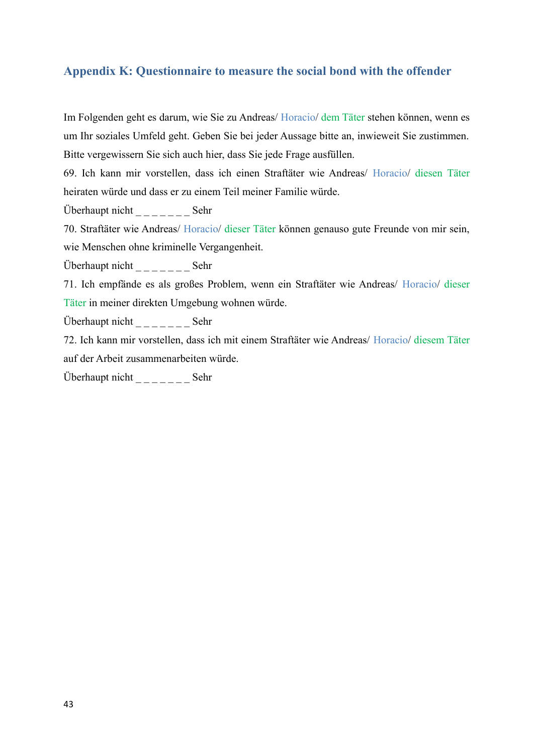### **Appendix K: Questionnaire to measure the social bond with the offender**

Im Folgenden geht es darum, wie Sie zu Andreas/ Horacio/ dem Täter stehen können, wenn es um Ihr soziales Umfeld geht. Geben Sie bei jeder Aussage bitte an, inwieweit Sie zustimmen. Bitte vergewissern Sie sich auch hier, dass Sie jede Frage ausfüllen.

69. Ich kann mir vorstellen, dass ich einen Straftäter wie Andreas/ Horacio/ diesen Täter heiraten würde und dass er zu einem Teil meiner Familie würde.

Überhaupt nicht \_ \_ \_ \_ \_ \_ \_ Sehr

70. Straftäter wie Andreas/ Horacio/ dieser Täter können genauso gute Freunde von mir sein, wie Menschen ohne kriminelle Vergangenheit.

Überhaupt nicht  $\frac{1}{2}$   $\frac{1}{2}$   $\frac{1}{2}$   $\frac{1}{2}$   $\frac{1}{2}$   $\frac{1}{2}$   $\frac{1}{2}$   $\frac{1}{2}$   $\frac{1}{2}$   $\frac{1}{2}$   $\frac{1}{2}$   $\frac{1}{2}$   $\frac{1}{2}$   $\frac{1}{2}$   $\frac{1}{2}$   $\frac{1}{2}$   $\frac{1}{2}$   $\frac{1}{2}$   $\frac{1}{2}$   $\frac{1}{2}$   $\frac{1$ 

71. Ich empfände es als großes Problem, wenn ein Straftäter wie Andreas/ Horacio/ dieser Täter in meiner direkten Umgebung wohnen würde.

Überhaupt nicht  $\frac{1}{2}$   $\frac{1}{2}$   $\frac{1}{2}$   $\frac{1}{2}$   $\frac{1}{2}$   $\frac{1}{2}$   $\frac{1}{2}$   $\frac{1}{2}$   $\frac{1}{2}$   $\frac{1}{2}$   $\frac{1}{2}$   $\frac{1}{2}$   $\frac{1}{2}$   $\frac{1}{2}$   $\frac{1}{2}$   $\frac{1}{2}$   $\frac{1}{2}$   $\frac{1}{2}$   $\frac{1}{2}$   $\frac{1}{2}$   $\frac{1$ 

72. Ich kann mir vorstellen, dass ich mit einem Straftäter wie Andreas/ Horacio/ diesem Täter auf der Arbeit zusammenarbeiten würde.

Überhaupt nicht \_ \_ \_ \_ \_ \_ \_ Sehr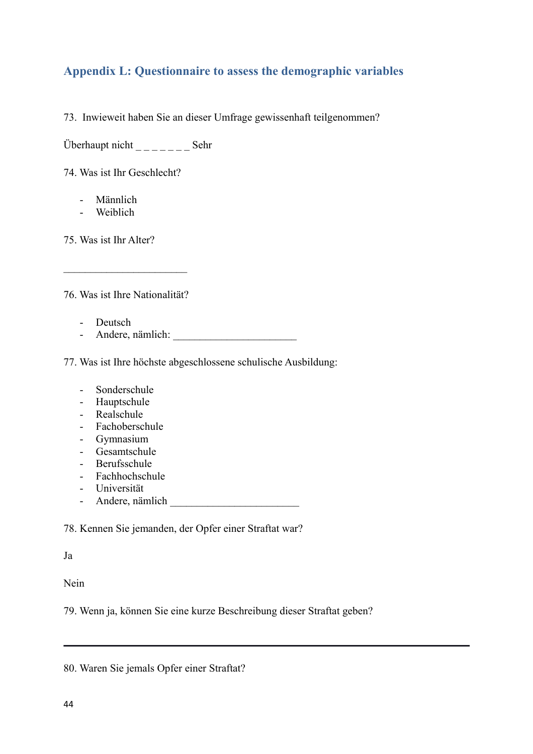# **Appendix L: Questionnaire to assess the demographic variables**

73. Inwieweit haben Sie an dieser Umfrage gewissenhaft teilgenommen?

Überhaupt nicht \_ \_ \_ \_ \_ \_ \_ Sehr

74. Was ist Ihr Geschlecht?

- Männlich
- Weiblich

75. Was ist Ihr Alter?

76. Was ist Ihre Nationalität?

\_\_\_\_\_\_\_\_\_\_\_\_\_\_\_\_\_\_\_\_\_\_\_

- Deutsch
- Andere, nämlich: \_\_\_\_\_\_\_\_\_\_\_\_\_\_\_\_\_\_\_\_\_\_\_

77. Was ist Ihre höchste abgeschlossene schulische Ausbildung:

- Sonderschule
- Hauptschule
- Realschule
- Fachoberschule
- Gymnasium
- Gesamtschule
- Berufsschule
- Fachhochschule
- Universität
- Andere, nämlich \_\_\_\_\_\_\_\_\_\_\_\_\_\_\_\_\_\_\_\_\_\_\_\_

78. Kennen Sie jemanden, der Opfer einer Straftat war?

Ja

Nein

79. Wenn ja, können Sie eine kurze Beschreibung dieser Straftat geben?

|  |  |  |  |  |  | 80. Waren Sie jemals Opfer einer Straftat? |
|--|--|--|--|--|--|--------------------------------------------|
|--|--|--|--|--|--|--------------------------------------------|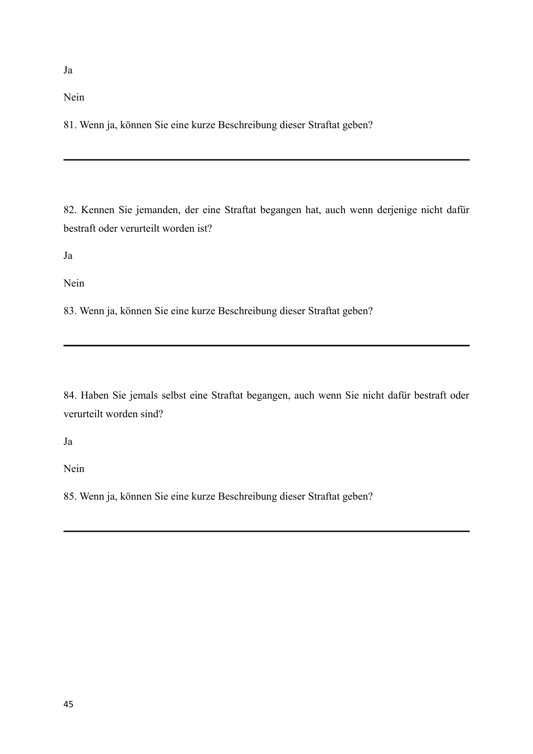Nein

81. Wenn ja, können Sie eine kurze Beschreibung dieser Straftat geben?

82. Kennen Sie jemanden, der eine Straftat begangen hat, auch wenn derjenige nicht dafür bestraft oder verurteilt worden ist?

Ja

Nein

83. Wenn ja, können Sie eine kurze Beschreibung dieser Straftat geben?

84. Haben Sie jemals selbst eine Straftat begangen, auch wenn Sie nicht dafür bestraft oder verurteilt worden sind?

Ja

Nein

85. Wenn ja, können Sie eine kurze Beschreibung dieser Straftat geben?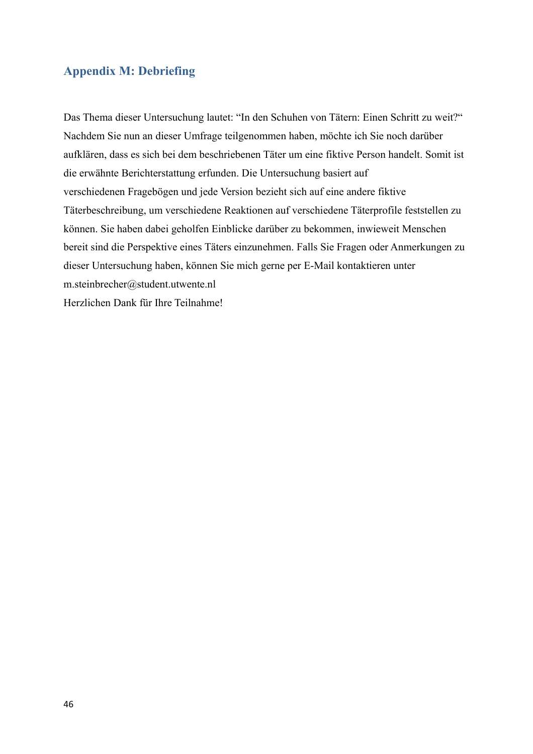### **Appendix M: Debriefing**

Das Thema dieser Untersuchung lautet: "In den Schuhen von Tätern: Einen Schritt zu weit?" Nachdem Sie nun an dieser Umfrage teilgenommen haben, möchte ich Sie noch darüber aufklären, dass es sich bei dem beschriebenen Täter um eine fiktive Person handelt. Somit ist die erwähnte Berichterstattung erfunden. Die Untersuchung basiert auf verschiedenen Fragebögen und jede Version bezieht sich auf eine andere fiktive Täterbeschreibung, um verschiedene Reaktionen auf verschiedene Täterprofile feststellen zu können. Sie haben dabei geholfen Einblicke darüber zu bekommen, inwieweit Menschen bereit sind die Perspektive eines Täters einzunehmen. Falls Sie Fragen oder Anmerkungen zu dieser Untersuchung haben, können Sie mich gerne per E-Mail kontaktieren unter m.steinbrecher@student.utwente.nl Herzlichen Dank für Ihre Teilnahme!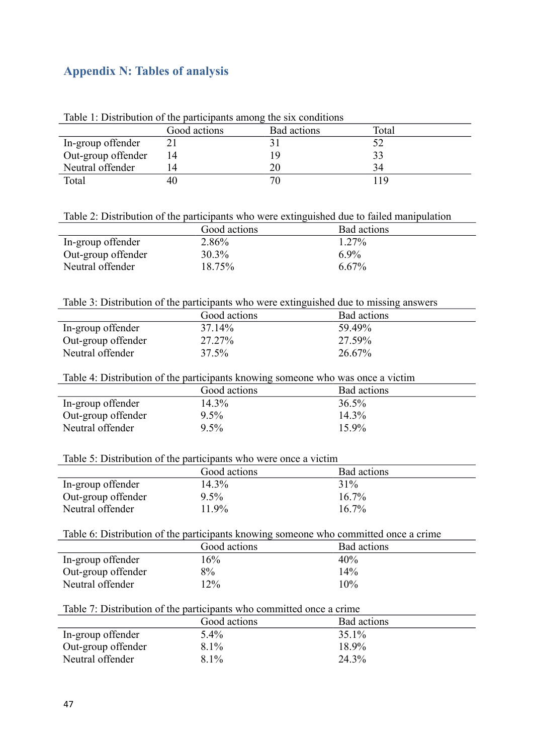# **Appendix N: Tables of analysis**

| Lable 1. Distribution of the participants among the six conditions |              |             |       |  |
|--------------------------------------------------------------------|--------------|-------------|-------|--|
|                                                                    | Good actions | Bad actions | Total |  |
| In-group offender                                                  |              |             |       |  |
| Out-group offender                                                 | 14           |             | 33    |  |
| Neutral offender                                                   | 14           |             | 34    |  |
| Total                                                              | 40           |             | 19    |  |

Table 1: Distribution of the participants among the six conditions

| Table 2: Distribution of the participants who were extinguished due to failed manipulation |  |  |
|--------------------------------------------------------------------------------------------|--|--|
|                                                                                            |  |  |

|                    | _            |             |
|--------------------|--------------|-------------|
|                    | Good actions | Bad actions |
| In-group offender  | 2.86%        | $1.27\%$    |
| Out-group offender | 30.3%        | $6.9\%$     |
| Neutral offender   | 18.75%       | $6.67\%$    |
|                    |              |             |

### Table 3: Distribution of the participants who were extinguished due to missing answers

|                    | Good actions         | Bad actions |
|--------------------|----------------------|-------------|
| In-group offender  | 37 14 <sup>o</sup> % | 59 49%      |
| Out-group offender | 27.27%               | 27.59%      |
| Neutral offender   | 37.5%                | 26.67%      |

Table 4: Distribution of the participants knowing someone who was once a victim

|                    | Good actions | Bad actions |
|--------------------|--------------|-------------|
| In-group offender  | 14.3%        | $36.5\%$    |
| Out-group offender | $9.5\%$      | 14.3%       |
| Neutral offender   | $9.5\%$      | $15.9\%$    |

### Table 5: Distribution of the participants who were once a victim

|                    | Good actions | Bad actions |
|--------------------|--------------|-------------|
| In-group offender  | 14.3%        | 31%         |
| Out-group offender | $9.5\%$      | $16.7\%$    |
| Neutral offender   | 11.9%        | $16.7\%$    |

#### Table 6: Distribution of the participants knowing someone who committed once a crime

|                    | Good actions | Bad actions |
|--------------------|--------------|-------------|
| In-group offender  | 16%          | 40%         |
| Out-group offender | 8%           | 14%         |
| Neutral offender   | 12%          | 10%         |

# Table 7: Distribution of the participants who committed once a crime

|                    | Good actions | Bad actions |
|--------------------|--------------|-------------|
| In-group offender  | 5.4%         | 35.1%       |
| Out-group offender | 8.1%         | 18.9%       |
| Neutral offender   | $8.1\%$      | 24.3%       |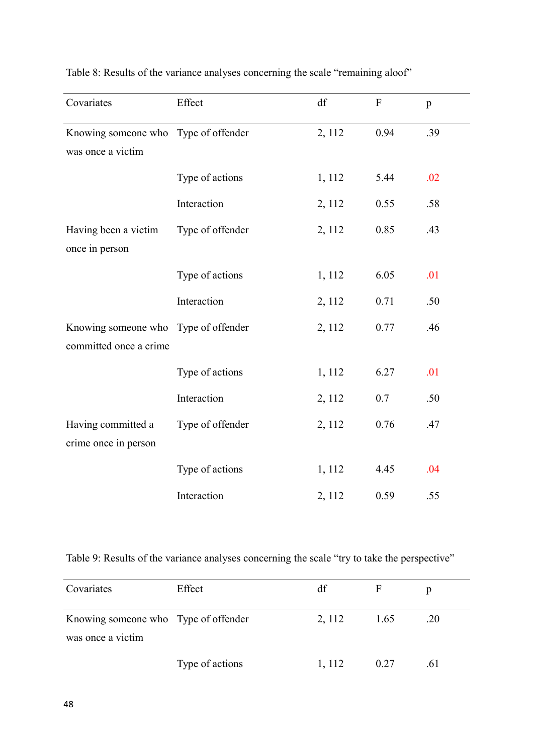| Covariates                           | Effect           | df     | $\mathbf{F}$ | p   |
|--------------------------------------|------------------|--------|--------------|-----|
| Knowing someone who Type of offender |                  | 2, 112 | 0.94         | .39 |
| was once a victim                    |                  |        |              |     |
|                                      | Type of actions  | 1, 112 | 5.44         | .02 |
|                                      | Interaction      | 2, 112 | 0.55         | .58 |
| Having been a victim                 | Type of offender | 2, 112 | 0.85         | .43 |
| once in person                       |                  |        |              |     |
|                                      | Type of actions  | 1, 112 | 6.05         | .01 |
|                                      | Interaction      | 2, 112 | 0.71         | .50 |
| Knowing someone who Type of offender |                  | 2, 112 | 0.77         | .46 |
| committed once a crime               |                  |        |              |     |
|                                      | Type of actions  | 1, 112 | 6.27         | .01 |
|                                      | Interaction      | 2, 112 | 0.7          | .50 |
| Having committed a                   | Type of offender | 2, 112 | 0.76         | .47 |
| crime once in person                 |                  |        |              |     |
|                                      | Type of actions  | 1, 112 | 4.45         | .04 |
|                                      | Interaction      | 2, 112 | 0.59         | .55 |

Table 8: Results of the variance analyses concerning the scale "remaining aloof"

Table 9: Results of the variance analyses concerning the scale "try to take the perspective"

| Covariates                                                | Effect          | df     |      |      |
|-----------------------------------------------------------|-----------------|--------|------|------|
| Knowing someone who Type of offender<br>was once a victim |                 | 2, 112 | 1.65 | .20  |
|                                                           | Type of actions | 1, 112 | 0.27 | .6 I |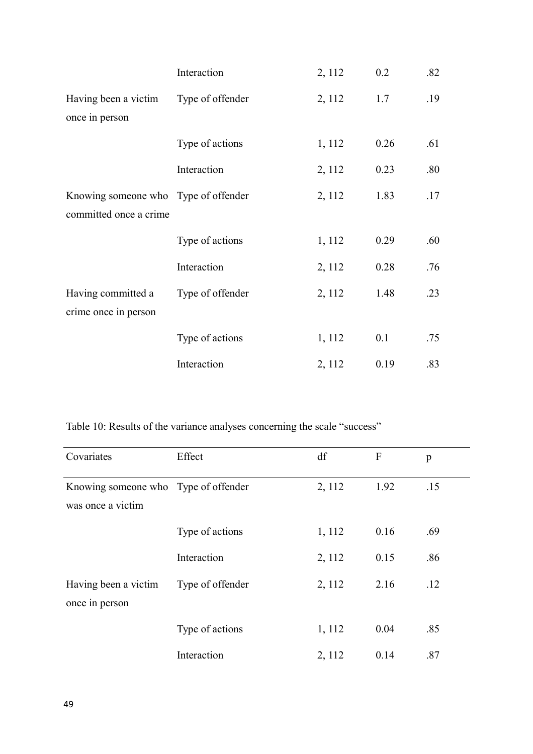|                                      | Interaction      | 2, 112 | 0.2  | .82 |
|--------------------------------------|------------------|--------|------|-----|
| Having been a victim                 | Type of offender | 2, 112 | 1.7  | .19 |
| once in person                       |                  |        |      |     |
|                                      | Type of actions  | 1, 112 | 0.26 | .61 |
|                                      | Interaction      | 2, 112 | 0.23 | .80 |
| Knowing someone who Type of offender |                  | 2, 112 | 1.83 | .17 |
| committed once a crime               |                  |        |      |     |
|                                      | Type of actions  | 1, 112 | 0.29 | .60 |
|                                      | Interaction      | 2, 112 | 0.28 | .76 |
| Having committed a                   | Type of offender | 2, 112 | 1.48 | .23 |
| crime once in person                 |                  |        |      |     |
|                                      | Type of actions  | 1, 112 | 0.1  | .75 |
|                                      | Interaction      | 2, 112 | 0.19 | .83 |

Table 10: Results of the variance analyses concerning the scale "success"

| Covariates                                                | Effect           | df     | $\boldsymbol{F}$ | p   |
|-----------------------------------------------------------|------------------|--------|------------------|-----|
| Knowing someone who Type of offender<br>was once a victim |                  | 2, 112 | 1.92             | .15 |
|                                                           | Type of actions  | 1, 112 | 0.16             | .69 |
|                                                           | Interaction      | 2, 112 | 0.15             | .86 |
| Having been a victim<br>once in person                    | Type of offender | 2, 112 | 2.16             | .12 |
|                                                           | Type of actions  | 1, 112 | 0.04             | .85 |
|                                                           | Interaction      | 2, 112 | 0.14             | .87 |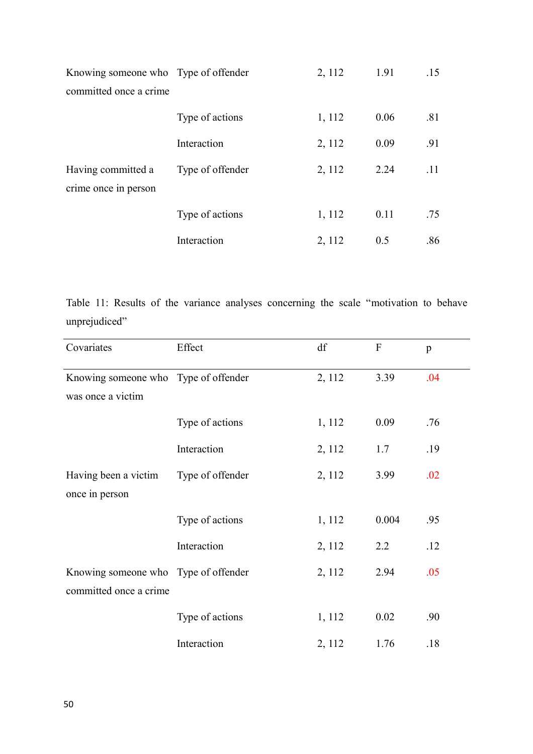| Knowing someone who Type of offender       |                  | 2, 112 | 1.91 | .15 |
|--------------------------------------------|------------------|--------|------|-----|
| committed once a crime                     |                  |        |      |     |
|                                            | Type of actions  | 1, 112 | 0.06 | .81 |
|                                            | Interaction      | 2, 112 | 0.09 | .91 |
| Having committed a<br>crime once in person | Type of offender | 2, 112 | 2.24 | .11 |
|                                            | Type of actions  | 1, 112 | 0.11 | .75 |
|                                            | Interaction      | 2, 112 | 0.5  | .86 |

Table 11: Results of the variance analyses concerning the scale "motivation to behave unprejudiced"

| Covariates                           | Effect           | df     | $\boldsymbol{F}$ | p   |
|--------------------------------------|------------------|--------|------------------|-----|
| Knowing someone who Type of offender |                  | 2, 112 | 3.39             | .04 |
| was once a victim                    |                  |        |                  |     |
|                                      | Type of actions  | 1, 112 | 0.09             | .76 |
|                                      | Interaction      | 2, 112 | 1.7              | .19 |
| Having been a victim                 | Type of offender | 2, 112 | 3.99             | .02 |
| once in person                       |                  |        |                  |     |
|                                      | Type of actions  | 1, 112 | 0.004            | .95 |
|                                      | Interaction      | 2, 112 | 2.2              | .12 |
| Knowing someone who Type of offender |                  | 2, 112 | 2.94             | .05 |
| committed once a crime               |                  |        |                  |     |
|                                      | Type of actions  | 1, 112 | 0.02             | .90 |
|                                      | Interaction      | 2, 112 | 1.76             | .18 |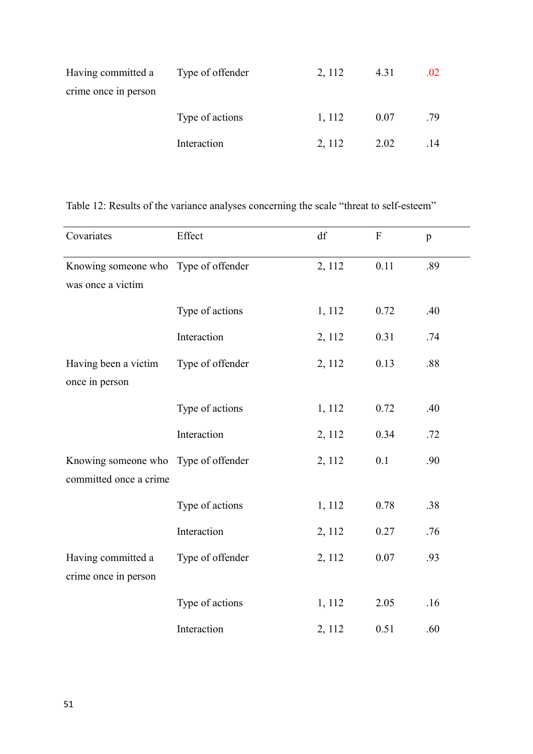| Having committed a   | Type of offender | 2, 112 | 4.31 | .02 |
|----------------------|------------------|--------|------|-----|
| crime once in person |                  |        |      |     |
|                      | Type of actions  | 1, 112 | 0.07 | .79 |
|                      | Interaction      | 2, 112 | 2.02 | .14 |

Table 12: Results of the variance analyses concerning the scale "threat to self-esteem"

| Covariates                           | Effect           | df     | $\boldsymbol{\mathrm{F}}$ | $\mathbf{p}$ |
|--------------------------------------|------------------|--------|---------------------------|--------------|
| Knowing someone who Type of offender |                  | 2, 112 | 0.11                      | .89          |
| was once a victim                    |                  |        |                           |              |
|                                      | Type of actions  | 1, 112 | 0.72                      | .40          |
|                                      | Interaction      | 2, 112 | 0.31                      | .74          |
| Having been a victim                 | Type of offender | 2, 112 | 0.13                      | .88          |
| once in person                       |                  |        |                           |              |
|                                      | Type of actions  | 1, 112 | 0.72                      | .40          |
|                                      | Interaction      | 2, 112 | 0.34                      | .72          |
| Knowing someone who Type of offender |                  | 2, 112 | 0.1                       | .90          |
| committed once a crime               |                  |        |                           |              |
|                                      | Type of actions  | 1, 112 | 0.78                      | .38          |
|                                      | Interaction      | 2, 112 | 0.27                      | .76          |
| Having committed a                   | Type of offender | 2, 112 | 0.07                      | .93          |
| crime once in person                 |                  |        |                           |              |
|                                      | Type of actions  | 1, 112 | 2.05                      | .16          |
|                                      | Interaction      | 2, 112 | 0.51                      | .60          |